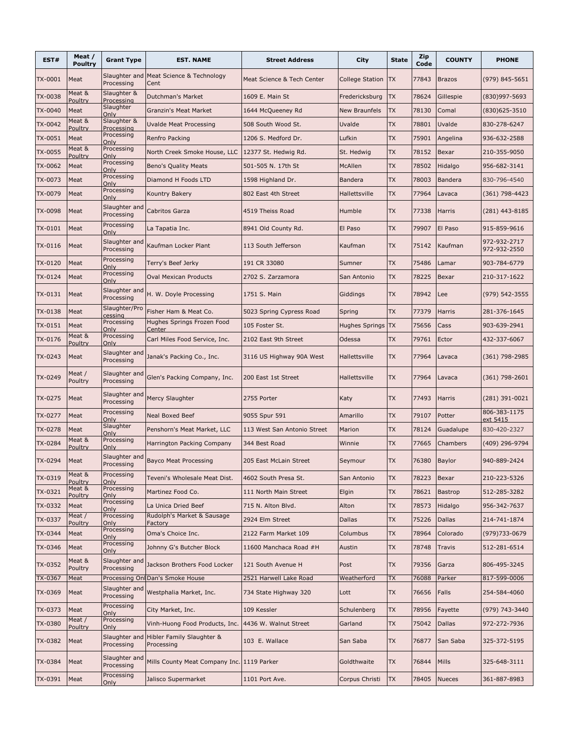| EST#           | Meat /<br><b>Poultry</b> | <b>Grant Type</b>                         | <b>EST. NAME</b>                                  | <b>Street Address</b>       | City                   | <b>State</b> | Zip<br>Code | <b>COUNTY</b>  | <b>PHONE</b>                 |
|----------------|--------------------------|-------------------------------------------|---------------------------------------------------|-----------------------------|------------------------|--------------|-------------|----------------|------------------------------|
| TX-0001        | Meat                     | Slaughter and<br>Processing               | Meat Science & Technology<br>Cent                 | Meat Science & Tech Center  | <b>College Station</b> | <b>TX</b>    | 77843       | <b>Brazos</b>  | (979) 845-5651               |
| <b>TX-0038</b> | Meat &<br>Poultry        | Slaughter &<br>Processing                 | Dutchman's Market                                 | 1609 E. Main St             | Fredericksburg         | <b>TX</b>    | 78624       | Gillespie      | (830)997-5693                |
| TX-0040        | Meat                     | Slaughter<br>Only                         | <b>Granzin's Meat Market</b>                      | 1644 McQueeney Rd           | <b>New Braunfels</b>   | <b>TX</b>    | 78130       | Comal          | $(830)625 - 3510$            |
| TX-0042        | Meat &<br>Poultry        | Slaughter &<br>Processing                 | <b>Uvalde Meat Processing</b>                     | 508 South Wood St.          | Uvalde                 | <b>TX</b>    | 78801       | Uvalde         | 830-278-6247                 |
| TX-0051        | Meat                     | Processing<br>Only                        | Renfro Packing                                    | 1206 S. Medford Dr.         | Lufkin                 | <b>TX</b>    | 75901       | Angelina       | 936-632-2588                 |
| TX-0055        | Meat &<br>Poultry        | Processing<br>Only                        | North Creek Smoke House, LLC 12377 St. Hedwig Rd. |                             | St. Hedwig             | <b>TX</b>    | 78152       | Bexar          | 210-355-9050                 |
| TX-0062        | Meat                     | Processing<br>Only                        | <b>Beno's Quality Meats</b>                       | 501-505 N. 17th St          | McAllen                | <b>TX</b>    | 78502       | Hidalgo        | 956-682-3141                 |
| TX-0073        | Meat                     | Processing<br>Only                        | Diamond H Foods LTD                               | 1598 Highland Dr.           | <b>Bandera</b>         | <b>TX</b>    | 78003       | <b>Bandera</b> | 830-796-4540                 |
| TX-0079        | Meat                     | Processing<br>Only                        | Kountry Bakery                                    | 802 East 4th Street         | Hallettsville          | <b>TX</b>    | 77964       | Lavaca         | (361) 798-4423               |
| <b>TX-0098</b> | Meat                     | Slaughter and<br>Processing               | <b>Cabritos Garza</b>                             | 4519 Theiss Road            | Humble                 | <b>TX</b>    | 77338       | <b>Harris</b>  | $(281)$ 443-8185             |
| TX-0101        | Meat                     | Processing<br>Only                        | La Tapatia Inc.                                   | 8941 Old County Rd.         | El Paso                | <b>TX</b>    | 79907       | El Paso        | 915-859-9616                 |
| TX-0116        | Meat                     | Slaughter and<br>Processing               | Kaufman Locker Plant                              | 113 South Jefferson         | Kaufman                | <b>TX</b>    | 75142       | Kaufman        | 972-932-2717<br>972-932-2550 |
| TX-0120        | Meat                     | Processing<br>Only                        | Terry's Beef Jerky                                | 191 CR 33080                | Sumner                 | <b>TX</b>    | 75486       | Lamar          | 903-784-6779                 |
| TX-0124        | Meat                     | Processing<br>Only                        | <b>Oval Mexican Products</b>                      | 2702 S. Zarzamora           | San Antonio            | <b>TX</b>    | 78225       | Bexar          | 210-317-1622                 |
| TX-0131        | Meat                     | Slaughter and<br>Processing               | H. W. Doyle Processing                            | 1751 S. Main                | Giddings               | <b>TX</b>    | 78942       | Lee            | (979) 542-3555               |
| TX-0138        | Meat                     | Slaughter/Pro<br>cessing                  | Fisher Ham & Meat Co.                             | 5023 Spring Cypress Road    | Spring                 | <b>TX</b>    | 77379       | Harris         | 281-376-1645                 |
| TX-0151        | Meat                     | Processing<br>Only                        | Hughes Springs Frozen Food<br>Center              | 105 Foster St.              | Hughes Springs TX      |              | 75656       | Cass           | 903-639-2941                 |
| TX-0176        | Meat &<br>Poultry        | Processing<br>Only                        | Carl Miles Food Service, Inc.                     | 2102 East 9th Street        | Odessa                 | <b>TX</b>    | 79761       | Ector          | 432-337-6067                 |
| TX-0243        | Meat                     | Slaughter and<br>Processing               | Janak's Packing Co., Inc.                         | 3116 US Highway 90A West    | Hallettsville          | <b>TX</b>    | 77964       | Lavaca         | $(361)$ 798-2985             |
| TX-0249        | Meat /<br>Poultry        | Slaughter and<br>Processing               | Glen's Packing Company, Inc.                      | 200 East 1st Street         | Hallettsville          | <b>TX</b>    | 77964       | Lavaca         | $(361)$ 798-2601             |
| TX-0275        | Meat                     | Slaughter and<br>Processing               | Mercy Slaughter                                   | 2755 Porter                 | Katy                   | <b>TX</b>    | 77493       | <b>Harris</b>  | $(281)$ 391-0021             |
| TX-0277        | Meat                     | Processing<br>Only                        | <b>Neal Boxed Beef</b>                            | 9055 Spur 591               | Amarillo               | <b>TX</b>    | 79107       | Potter         | 806-383-1175<br>ext 5415     |
| TX-0278        | Meat                     | Slaughter<br>Only                         | Penshorn's Meat Market, LLC                       | 113 West San Antonio Street | Marion                 | <b>TX</b>    | 78124       | Guadalupe      | 830-420-2327                 |
| TX-0284        | Meat &<br>Poultry        | Processing<br>Only                        | Harrington Packing Company                        | 344 Best Road               | Winnie                 | <b>TX</b>    | 77665       | Chambers       | (409) 296-9794               |
| TX-0294        | Meat                     | Slaughter and<br>Processing               | <b>Bayco Meat Processing</b>                      | 205 East McLain Street      | Seymour                | <b>TX</b>    | 76380       | Baylor         | 940-889-2424                 |
| TX-0319        | Meat &<br>Poultry        | Processing<br>Only                        | Teveni's Wholesale Meat Dist.                     | 4602 South Presa St.        | San Antonio            | <b>TX</b>    | 78223       | Bexar          | 210-223-5326                 |
| TX-0321        | Meat &<br>Poultry        | Processing<br>Only                        | Martinez Food Co.                                 | 111 North Main Street       | Elgin                  | TX           | 78621       | Bastrop        | 512-285-3282                 |
| TX-0332        | Meat                     | Processing<br>Only                        | La Unica Dried Beef                               | 715 N. Alton Blvd.          | Alton                  | TX           | 78573       | Hidalgo        | 956-342-7637                 |
| TX-0337        | Meat /<br>Poultry        | Processing<br>Only                        | Rudolph's Market & Sausage<br>Factory             | 2924 Elm Street             | <b>Dallas</b>          | TX           | 75226       | Dallas         | 214-741-1874                 |
| TX-0344        | Meat                     | Processing<br>Only                        | Oma's Choice Inc.                                 | 2122 Farm Market 109        | Columbus               | TX           | 78964       | Colorado       | (979)733-0679                |
| TX-0346        | Meat                     | Processing<br>Only                        | Johnny G's Butcher Block                          | 11600 Manchaca Road #H      | Austin                 | TX           | 78748       | Travis         | 512-281-6514                 |
| TX-0352        | Meat &<br>Poultry        | Slaughter and<br>Processing               | Jackson Brothers Food Locker                      | 121 South Avenue H          | Post                   | <b>TX</b>    | 79356       | Garza          | 806-495-3245                 |
| TX-0367        | Meat                     |                                           | Processing Onl Dan's Smoke House                  | 2521 Harwell Lake Road      | Weatherford            | TX           | 76088       | Parker         | 817-599-0006                 |
| TX-0369        | Meat                     | Slaughter and<br>Processing<br>Processing | Westphalia Market, Inc.                           | 734 State Highway 320       | Lott                   | <b>TX</b>    | 76656       | Falls          | 254-584-4060                 |
| TX-0373        | Meat<br>Meat /           | Only<br>Processing                        | City Market, Inc.                                 | 109 Kessler                 | Schulenberg            | <b>TX</b>    | 78956       | Fayette        | (979) 743-3440               |
| TX-0380        | Poultry                  | Only                                      | Vinh-Huong Food Products, Inc.                    | 4436 W. Walnut Street       | Garland                | TX           | 75042       | Dallas         | 972-272-7936                 |
| TX-0382        | Meat                     | Slaughter and<br>Processing               | Hibler Family Slaughter &<br>Processing           | 103 E. Wallace              | San Saba               | <b>TX</b>    | 76877       | San Saba       | 325-372-5195                 |
| TX-0384        | Meat                     | Slaughter and<br>Processing               | Mills County Meat Company Inc. 1119 Parker        |                             | Goldthwaite            | <b>TX</b>    | 76844       | Mills          | 325-648-3111                 |
| TX-0391        | Meat                     | Processing<br>Only                        | Jalisco Supermarket                               | 1101 Port Ave.              | Corpus Christi         | <b>TX</b>    | 78405       | <b>Nueces</b>  | 361-887-8983                 |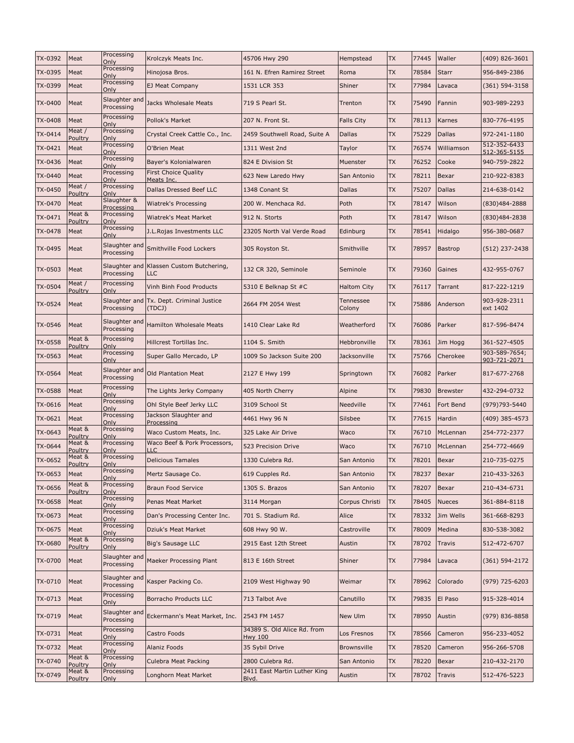| TX-0392        | Meat                     | Processing<br>Only          | Krolczyk Meats Inc.                       | 45706 Hwy 290                                 | Hempstead           | <b>TX</b> | 77445 | Waller          | (409) 826-3601                |
|----------------|--------------------------|-----------------------------|-------------------------------------------|-----------------------------------------------|---------------------|-----------|-------|-----------------|-------------------------------|
| TX-0395        | Meat                     | Processing<br>Only          | Hinojosa Bros.                            | 161 N. Efren Ramirez Street                   | Roma                | <b>TX</b> | 78584 | <b>Starr</b>    | 956-849-2386                  |
| TX-0399        | Meat                     | Processing<br>Only          | EJ Meat Company                           | 1531 LCR 353                                  | Shiner              | <b>TX</b> | 77984 | Lavaca          | $(361) 594 - 3158$            |
| TX-0400        | Meat                     | Slaughter and<br>Processing | Jacks Wholesale Meats                     | 719 S Pearl St.                               | Trenton             | <b>TX</b> | 75490 | Fannin          | 903-989-2293                  |
| TX-0408        | Meat                     | Processing<br>Only          | Pollok's Market                           | 207 N. Front St.                              | <b>Falls City</b>   | <b>TX</b> | 78113 | Karnes          | 830-776-4195                  |
| TX-0414        | Meat /<br>Poultry        | Processing<br>Only          | Crystal Creek Cattle Co., Inc.            | 2459 Southwell Road, Suite A                  | <b>Dallas</b>       | <b>TX</b> | 75229 | <b>Dallas</b>   | 972-241-1180                  |
| TX-0421        | Meat                     | Processing<br>Only          | O'Brien Meat                              | 1311 West 2nd                                 | Taylor              | <b>TX</b> | 76574 | Williamson      | 512-352-6433<br>512-365-5155  |
| TX-0436        | Meat                     | Processing<br>Only          | Bayer's Kolonialwaren                     | 824 E Division St                             | Muenster            | <b>TX</b> | 76252 | Cooke           | 940-759-2822                  |
| TX-0440        | Meat                     | Processing<br>Only          | <b>First Choice Quality</b><br>Meats Inc. | 623 New Laredo Hwy                            | San Antonio         | <b>TX</b> | 78211 | Bexar           | 210-922-8383                  |
| TX-0450        | Meat /<br>Poultry        | Processing<br>Only          | Dallas Dressed Beef LLC                   | 1348 Conant St                                | Dallas              | <b>TX</b> | 75207 | <b>Dallas</b>   | 214-638-0142                  |
| TX-0470        | Meat                     | Slaughter &<br>Processing   | Wiatrek's Processing                      | 200 W. Menchaca Rd.                           | Poth                | <b>TX</b> | 78147 | Wilson          | (830)484-2888                 |
| TX-0471        | Meat &<br>Poultry        | Processing<br>Only          | Wiatrek's Meat Market                     | 912 N. Storts                                 | Poth                | <b>TX</b> | 78147 | Wilson          | (830)484-2838                 |
| TX-0478        | Meat                     | Processing<br>Only          | J.L.Rojas Investments LLC                 | 23205 North Val Verde Road                    | Edinburg            | <b>TX</b> | 78541 | Hidalgo         | 956-380-0687                  |
| TX-0495        | Meat                     | Slaughter and<br>Processing | Smithville Food Lockers                   | 305 Royston St.                               | Smithville          | <b>TX</b> | 78957 | <b>Bastrop</b>  | $(512)$ 237-2438              |
| TX-0503        | Meat                     | Slaughter and<br>Processing | Klassen Custom Butchering,<br><b>LLC</b>  | 132 CR 320, Seminole                          | Seminole            | <b>TX</b> | 79360 | Gaines          | 432-955-0767                  |
| <b>TX-0504</b> | Meat /<br><b>Poultry</b> | Processing<br>Only          | Vinh Binh Food Products                   | 5310 E Belknap St #C                          | Haltom City         | <b>TX</b> | 76117 | Tarrant         | 817-222-1219                  |
| TX-0524        | Meat                     | Slaughter and<br>Processing | Tx. Dept. Criminal Justice<br>(TDCJ)      | 2664 FM 2054 West                             | Tennessee<br>Colony | <b>TX</b> | 75886 | Anderson        | 903-928-2311<br>ext 1402      |
| TX-0546        | Meat                     | Slaughter and<br>Processing | <b>Hamilton Wholesale Meats</b>           | 1410 Clear Lake Rd                            | Weatherford         | <b>TX</b> | 76086 | Parker          | 817-596-8474                  |
| TX-0558        | Meat &<br>Poultry        | Processing<br>Only          | Hillcrest Tortillas Inc.                  | 1104 S. Smith                                 | Hebbronville        | <b>TX</b> | 78361 | Jim Hogg        | 361-527-4505                  |
| TX-0563        | Meat                     | Processing<br>Only          | Super Gallo Mercado, LP                   | 1009 So Jackson Suite 200                     | Jacksonville        | <b>TX</b> | 75766 | Cherokee        | 903-589-7654;<br>903-721-2071 |
| TX-0564        | Meat                     | Slaughter and<br>Processing | <b>Old Plantation Meat</b>                | 2127 E Hwy 199                                | Springtown          | <b>TX</b> | 76082 | Parker          | 817-677-2768                  |
| TX-0588        | Meat                     | Processing<br>Only          | The Lights Jerky Company                  | 405 North Cherry                              | Alpine              | <b>TX</b> | 79830 | <b>Brewster</b> | 432-294-0732                  |
| TX-0616        | Meat                     | Processing<br>Only          | Ohl Style Beef Jerky LLC                  | 3109 School St                                | Needville           | <b>TX</b> | 77461 | Fort Bend       | (979)793-5440                 |
| TX-0621        | Meat                     | Processing<br>Only          | Jackson Slaughter and<br>Processing       | 4461 Hwy 96 N                                 | Silsbee             | <b>TX</b> | 77615 | Hardin          | (409) 385-4573                |
| TX-0643        | Meat &<br>Poultry        | Processing<br>Only          | Waco Custom Meats, Inc.                   | 325 Lake Air Drive                            | Waco                | <b>TX</b> | 76710 | McLennan        | 254-772-2377                  |
| TX-0644        | Meat &<br>Poultry        | Processing<br>Only          | Waco Beef & Pork Processors,<br>LLC       | 523 Precision Drive                           | Waco                | <b>TX</b> | 76710 | McLennan        | 254-772-4669                  |
| TX-0652        | Meat &<br>Poultry        | Processing<br>Only          | <b>Delicious Tamales</b>                  | 1330 Culebra Rd.                              | San Antonio         | <b>TX</b> | 78201 | Bexar           | 210-735-0275                  |
| TX-0653        | Meat                     | Processing<br>Only          | Mertz Sausage Co.                         | 619 Cupples Rd.                               | San Antonio         | <b>TX</b> | 78237 | Bexar           | 210-433-3263                  |
| TX-0656        | Meat &<br>Poultry        | Processing<br>Only          | Braun Food Service                        | 1305 S. Brazos                                | San Antonio         | TX        | 78207 | Bexar           | 210-434-6731                  |
| TX-0658        | Meat                     | Processing<br>Only          | Penas Meat Market                         | 3114 Morgan                                   | Corpus Christi      | <b>TX</b> | 78405 | <b>Nueces</b>   | 361-884-8118                  |
| TX-0673        | Meat                     | Processing<br>Only          | Dan's Processing Center Inc.              | 701 S. Stadium Rd.                            | Alice               | <b>TX</b> | 78332 | Jim Wells       | 361-668-8293                  |
| TX-0675        | Meat                     | Processing<br>Only          | Dziuk's Meat Market                       | 608 Hwy 90 W.                                 | Castroville         | <b>TX</b> | 78009 | Medina          | 830-538-3082                  |
| TX-0680        | Meat &<br>Poultry        | Processing<br>Only          | Big's Sausage LLC                         | 2915 East 12th Street                         | Austin              | <b>TX</b> | 78702 | Travis          | 512-472-6707                  |
| TX-0700        | Meat                     | Slaughter and<br>Processing | Maeker Processing Plant                   | 813 E 16th Street                             | Shiner              | <b>TX</b> | 77984 | Lavaca          | $(361) 594 - 2172$            |
| TX-0710        | Meat                     | Slaughter and<br>Processing | Kasper Packing Co.                        | 2109 West Highway 90                          | Weimar              | <b>TX</b> | 78962 | Colorado        | (979) 725-6203                |
| TX-0713        | Meat                     | Processing<br>Only          | Borracho Products LLC                     | 713 Talbot Ave                                | Canutillo           | <b>TX</b> | 79835 | El Paso         | 915-328-4014                  |
| TX-0719        | Meat                     | Slaughter and<br>Processing | Eckermann's Meat Market, Inc.             | 2543 FM 1457                                  | New Ulm             | <b>TX</b> | 78950 | Austin          | (979) 836-8858                |
| TX-0731        | Meat                     | Processing<br>Only          | Castro Foods                              | 34389 S. Old Alice Rd. from<br><b>Hwy 100</b> | Los Fresnos         | TX        | 78566 | Cameron         | 956-233-4052                  |
| TX-0732        | Meat                     | Processing<br>Only          | Alaniz Foods                              | 35 Sybil Drive                                | <b>Brownsville</b>  | <b>TX</b> | 78520 | Cameron         | 956-266-5708                  |
| TX-0740        | Meat &<br>Poultry        | Processing<br>Only          | Culebra Meat Packing                      | 2800 Culebra Rd.                              | San Antonio         | TX        | 78220 | Bexar           | 210-432-2170                  |
| TX-0749        | Meat &<br><b>Poultry</b> | Processing<br>Only          | Longhorn Meat Market                      | 2411 East Martin Luther King<br>Blvd.         | Austin              | <b>TX</b> | 78702 | <b>Travis</b>   | 512-476-5223                  |
|                |                          |                             |                                           |                                               |                     |           |       |                 |                               |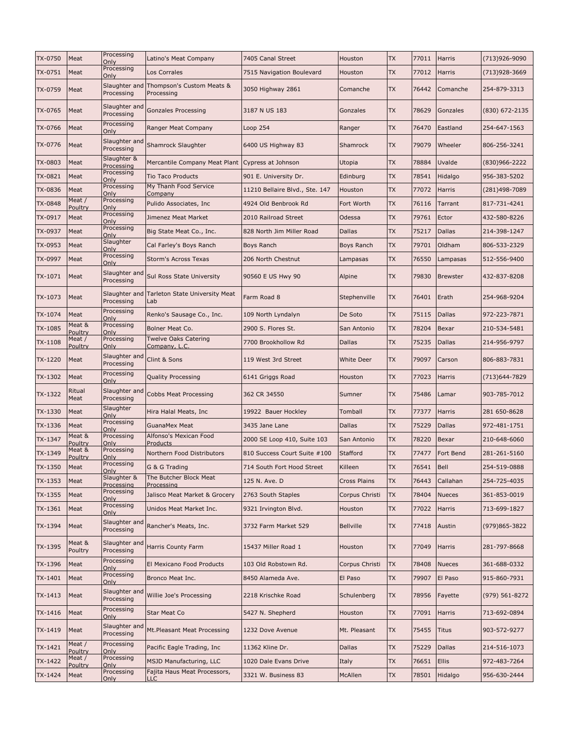| TX-0750        | Meat              | Processing<br>Only          | Latino's Meat Company                            | 7405 Canal Street              | Houston             | <b>TX</b> | 77011 | Harris          | (713)926-9090    |
|----------------|-------------------|-----------------------------|--------------------------------------------------|--------------------------------|---------------------|-----------|-------|-----------------|------------------|
| TX-0751        | Meat              | Processing<br>Only          | Los Corrales                                     | 7515 Navigation Boulevard      | Houston             | <b>TX</b> | 77012 | Harris          | (713)928-3669    |
| TX-0759        | Meat              | Slaughter and<br>Processing | Thompson's Custom Meats &<br>Processing          | 3050 Highway 2861              | Comanche            | <b>TX</b> | 76442 | Comanche        | 254-879-3313     |
| TX-0765        | Meat              | Slaughter and<br>Processing | Gonzales Processing                              | 3187 N US 183                  | Gonzales            | <b>TX</b> | 78629 | Gonzales        | $(830)$ 672-2135 |
| TX-0766        | Meat              | Processing<br>Only          | Ranger Meat Company                              | Loop 254                       | Ranger              | <b>TX</b> | 76470 | Eastland        | 254-647-1563     |
| TX-0776        | Meat              | Slaughter and<br>Processing | Shamrock Slaughter                               | 6400 US Highway 83             | Shamrock            | <b>TX</b> | 79079 | Wheeler         | 806-256-3241     |
| TX-0803        | Meat              | Slaughter &<br>Processing   | Mercantile Company Meat Plant Cypress at Johnson |                                | Utopia              | <b>TX</b> | 78884 | Uvalde          | (830)966-2222    |
| TX-0821        | Meat              | Processing<br>Only          | <b>Tio Taco Products</b>                         | 901 E. University Dr.          | Edinburg            | <b>TX</b> | 78541 | Hidalgo         | 956-383-5202     |
| TX-0836        | Meat              | Processing<br>Only          | My Thanh Food Service<br>Company                 | 11210 Bellaire Blvd., Ste. 147 | Houston             | <b>TX</b> | 77072 | Harris          | (281)498-7089    |
| <b>TX-0848</b> | Meat /<br>Poultry | Processing<br>Only          | Pulido Associates, Inc                           | 4924 Old Benbrook Rd           | Fort Worth          | <b>TX</b> | 76116 | Tarrant         | 817-731-4241     |
| TX-0917        | Meat              | Processing<br>Only          | Jimenez Meat Market                              | 2010 Railroad Street           | Odessa              | <b>TX</b> | 79761 | Ector           | 432-580-8226     |
| TX-0937        | Meat              | Processing<br>Only          | Big State Meat Co., Inc.                         | 828 North Jim Miller Road      | <b>Dallas</b>       | <b>TX</b> | 75217 | Dallas          | 214-398-1247     |
| TX-0953        | Meat              | Slaughter<br>Only           | Cal Farley's Boys Ranch                          | <b>Boys Ranch</b>              | Boys Ranch          | <b>TX</b> | 79701 | Oldham          | 806-533-2329     |
| TX-0997        | Meat              | Processing<br>Only          | Storm's Across Texas                             | 206 North Chestnut             | Lampasas            | <b>TX</b> | 76550 | Lampasas        | 512-556-9400     |
| TX-1071        | Meat              | Slaughter and<br>Processing | Sul Ross State University                        | 90560 E US Hwy 90              | Alpine              | <b>TX</b> | 79830 | <b>Brewster</b> | 432-837-8208     |
| TX-1073        | Meat              | Slaughter and<br>Processing | Tarleton State University Meat<br>Lab            | Farm Road 8                    | Stephenville        | <b>TX</b> | 76401 | Erath           | 254-968-9204     |
| TX-1074        | Meat              | Processing<br>Only          | Renko's Sausage Co., Inc.                        | 109 North Lyndalyn             | De Soto             | <b>TX</b> | 75115 | Dallas          | 972-223-7871     |
| TX-1085        | Meat &<br>Poultry | Processing<br>Only          | Bolner Meat Co.                                  | 2900 S. Flores St.             | San Antonio         | <b>TX</b> | 78204 | Bexar           | 210-534-5481     |
| TX-1108        | Meat /<br>Poultry | Processing<br>Only          | Twelve Oaks Catering<br>Company, L.C.            | 7700 Brookhollow Rd            | <b>Dallas</b>       | <b>TX</b> | 75235 | Dallas          | 214-956-9797     |
| TX-1220        | Meat              | Slaughter and<br>Processing | Clint & Sons                                     | 119 West 3rd Street            | White Deer          | <b>TX</b> | 79097 | Carson          | 806-883-7831     |
| TX-1302        | Meat              | Processing<br>Only          | Quality Processing                               | 6141 Griggs Road               | Houston             | <b>TX</b> | 77023 | Harris          | (713)644-7829    |
| TX-1322        | Ritual<br>Meat    | Slaughter and<br>Processing | <b>Cobbs Meat Processing</b>                     | 362 CR 34550                   | Sumner              | <b>TX</b> | 75486 | Lamar           | 903-785-7012     |
| TX-1330        | Meat              | Slaughter<br>Only           | Hira Halal Meats, Inc.                           | 19922 Bauer Hockley            | Tomball             | <b>TX</b> | 77377 | Harris          | 281 650-8628     |
| TX-1336        | Meat              | Processing<br>Only          | <b>GuanaMex Meat</b>                             | 3435 Jane Lane                 | Dallas              | <b>TX</b> | 75229 | <b>Dallas</b>   | 972-481-1751     |
| TX-1347        | Meat &<br>Poultry | Processing<br>Only          | Alfonso's Mexican Food<br>Products               | 2000 SE Loop 410, Suite 103    | San Antonio         | <b>TX</b> | 78220 | Bexar           | 210-648-6060     |
| TX-1349        | Meat &<br>Poultry | Processing<br>Only          | Northern Food Distributors                       | 810 Success Court Suite #100   | Stafford            | <b>TX</b> | 77477 | Fort Bend       | 281-261-5160     |
| TX-1350        | Meat              | Processing<br>)nlv          | G & G Trading                                    | 714 South Fort Hood Street     | Killeen             | <b>TX</b> | 76541 | Bell            | 254-519-0888     |
| TX-1353        | Meat              | Slaughter &<br>Processing   | The Butcher Block Meat<br>Processing             | 125 N. Ave. D                  | <b>Cross Plains</b> | TX        | 76443 | Callahan        | 254-725-4035     |
| TX-1355        | Meat              | Processing<br>Only          | Jalisco Meat Market & Grocery                    | 2763 South Staples             | Corpus Christi      | TX        | 78404 | Nueces          | 361-853-0019     |
| TX-1361        | Meat              | Processing<br>Only          | Unidos Meat Market Inc.                          | 9321 Irvington Blvd.           | Houston             | <b>TX</b> | 77022 | Harris          | 713-699-1827     |
| TX-1394        | Meat              | Slaughter and<br>Processing | Rancher's Meats, Inc.                            | 3732 Farm Market 529           | <b>Bellville</b>    | <b>TX</b> | 77418 | Austin          | (979)865-3822    |
| TX-1395        | Meat &<br>Poultry | Slaughter and<br>Processing | Harris County Farm                               | 15437 Miller Road 1            | Houston             | <b>TX</b> | 77049 | Harris          | 281-797-8668     |
| TX-1396        | Meat              | Processing<br>Only          | El Mexicano Food Products                        | 103 Old Robstown Rd.           | Corpus Christi      | <b>TX</b> | 78408 | <b>Nueces</b>   | 361-688-0332     |
| TX-1401        | Meat              | Processing<br>Only          | Bronco Meat Inc.                                 | 8450 Alameda Ave.              | El Paso             | <b>TX</b> | 79907 | El Paso         | 915-860-7931     |
| TX-1413        | Meat              | Slaughter and<br>Processing | Willie Joe's Processing                          | 2218 Krischke Road             | Schulenberg         | <b>TX</b> | 78956 | Fayette         | (979) 561-8272   |
| TX-1416        | Meat              | Processing<br>Only          | <b>Star Meat Co</b>                              | 5427 N. Shepherd               | Houston             | <b>TX</b> | 77091 | Harris          | 713-692-0894     |
| TX-1419        | Meat              | Slaughter and<br>Processing | Mt.Pleasant Meat Processing                      | 1232 Dove Avenue               | Mt. Pleasant        | <b>TX</b> | 75455 | Titus           | 903-572-9277     |
| TX-1421        | Meat /<br>Poultry | Processing<br>Only          | Pacific Eagle Trading, Inc                       | 11362 Kline Dr.                | Dallas              | TX        | 75229 | <b>Dallas</b>   | 214-516-1073     |
| TX-1422        | Meat /<br>Poultry | Processing<br>Only          | MSJD Manufacturing, LLC                          | 1020 Dale Evans Drive          | Italy               | TX        | 76651 | Ellis           | 972-483-7264     |
| TX-1424        | Meat              | Processing<br>Only          | Fajita Haus Meat Processors,<br>LLC.             | 3321 W. Business 83            | McAllen             | TX        | 78501 | Hidalgo         | 956-630-2444     |
|                |                   |                             |                                                  |                                |                     |           |       |                 |                  |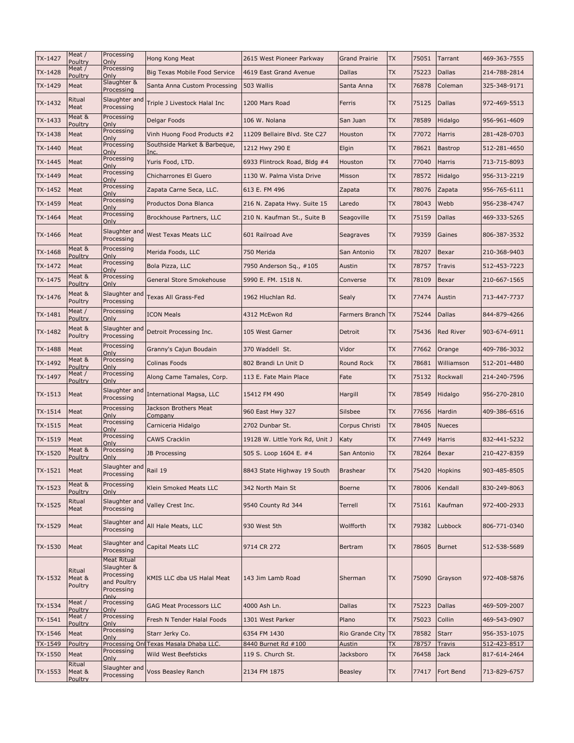| TX-1427 | Meat /<br>Poultry           | Processing<br>Only                                                                   | Hong Kong Meat                         | 2615 West Pioneer Parkway       | <b>Grand Prairie</b> | <b>TX</b> | 75051 | Tarrant          | 469-363-7555 |
|---------|-----------------------------|--------------------------------------------------------------------------------------|----------------------------------------|---------------------------------|----------------------|-----------|-------|------------------|--------------|
| TX-1428 | Meat /<br>Poultry           | Processing<br>Only                                                                   | Big Texas Mobile Food Service          | 4619 East Grand Avenue          | Dallas               | <b>TX</b> | 75223 | <b>Dallas</b>    | 214-788-2814 |
| TX-1429 | Meat                        | Slaughter &<br>Processing                                                            | Santa Anna Custom Processing           | 503 Wallis                      | Santa Anna           | <b>TX</b> | 76878 | Coleman          | 325-348-9171 |
| TX-1432 | Ritual<br>Meat              | Slaughter and<br>Processing                                                          | Triple J Livestock Halal Inc           | 1200 Mars Road                  | Ferris               | <b>TX</b> | 75125 | Dallas           | 972-469-5513 |
| TX-1433 | Meat &<br>Poultry           | Processing<br>Only                                                                   | Delgar Foods                           | 106 W. Nolana                   | San Juan             | <b>TX</b> | 78589 | Hidalgo          | 956-961-4609 |
| TX-1438 | Meat                        | Processing<br>Only                                                                   | Vinh Huong Food Products #2            | 11209 Bellaire Blvd. Ste C27    | Houston              | <b>TX</b> | 77072 | <b>Harris</b>    | 281-428-0703 |
| TX-1440 | Meat                        | Processing<br>Only                                                                   | Southside Market & Barbeque,<br>Inc.   | 1212 Hwy 290 E                  | Elgin                | <b>TX</b> | 78621 | <b>Bastrop</b>   | 512-281-4650 |
| TX-1445 | Meat                        | Processing<br>Only                                                                   | Yuris Food, LTD.                       | 6933 Flintrock Road, Bldg #4    | Houston              | <b>TX</b> | 77040 | <b>Harris</b>    | 713-715-8093 |
| TX-1449 | Meat                        | Processing<br>Only                                                                   | Chicharrones El Guero                  | 1130 W. Palma Vista Drive       | Misson               | <b>TX</b> | 78572 | Hidalgo          | 956-313-2219 |
| TX-1452 | Meat                        | Processing<br>Only                                                                   | Zapata Carne Seca, LLC.                | 613 E. FM 496                   | Zapata               | <b>TX</b> | 78076 | Zapata           | 956-765-6111 |
| TX-1459 | Meat                        | Processing<br>Only                                                                   | Productos Dona Blanca                  | 216 N. Zapata Hwy. Suite 15     | Laredo               | <b>TX</b> | 78043 | Webb             | 956-238-4747 |
| TX-1464 | Meat                        | Processing<br>Only                                                                   | Brockhouse Partners, LLC               | 210 N. Kaufman St., Suite B     | Seagoville           | <b>TX</b> | 75159 | <b>Dallas</b>    | 469-333-5265 |
| TX-1466 | Meat                        | Slaughter and<br>Processing                                                          | West Texas Meats LLC                   | 601 Railroad Ave                | Seagraves            | <b>TX</b> | 79359 | Gaines           | 806-387-3532 |
| TX-1468 | Meat &<br>Poultry           | Processing<br>Only                                                                   | Merida Foods, LLC                      | 750 Merida                      | San Antonio          | <b>TX</b> | 78207 | Bexar            | 210-368-9403 |
| TX-1472 | Meat                        | Processing<br>Only                                                                   | Bola Pizza, LLC                        | 7950 Anderson Sq., #105         | Austin               | <b>TX</b> | 78757 | Travis           | 512-453-7223 |
| TX-1475 | Meat &<br>Poultry           | Processing<br>Only                                                                   | General Store Smokehouse               | 5990 E. FM. 1518 N.             | Converse             | TX        | 78109 | Bexar            | 210-667-1565 |
| TX-1476 | Meat &<br>Poultry           | Slaughter and<br>Processing                                                          | Texas All Grass-Fed                    | 1962 Hluchlan Rd.               | Sealy                | <b>TX</b> | 77474 | Austin           | 713-447-7737 |
| TX-1481 | Meat /<br>Poultry           | Processing<br>Only                                                                   | ICON Meals                             | 4312 McEwon Rd                  | Farmers Branch TX    |           | 75244 | Dallas           | 844-879-4266 |
| TX-1482 | Meat &<br>Poultry           | Slaughter and<br>Processing                                                          | Detroit Processing Inc.                | 105 West Garner                 | Detroit              | <b>TX</b> | 75436 | <b>Red River</b> | 903-674-6911 |
| TX-1488 | Meat                        | Processing<br>Only                                                                   | Granny's Cajun Boudain                 | 370 Waddell St.                 | Vidor                | <b>TX</b> | 77662 | Orange           | 409-786-3032 |
| TX-1492 | Meat &<br>Poultry           | Processing<br>Only                                                                   | Colinas Foods                          | 802 Brandi Ln Unit D            | Round Rock           | <b>TX</b> | 78681 | Williamson       | 512-201-4480 |
| TX-1497 | Meat /<br><b>Poultry</b>    | Processing<br>Only                                                                   | Along Came Tamales, Corp.              | 113 E. Fate Main Place          | Fate                 | <b>TX</b> | 75132 | Rockwall         | 214-240-7596 |
| TX-1513 | Meat                        | Slaughter and<br>Processing                                                          | International Magsa, LLC               | 15412 FM 490                    | Hargill              | <b>TX</b> | 78549 | Hidalgo          | 956-270-2810 |
| TX-1514 | Meat                        | Processing<br>Only                                                                   | Jackson Brothers Meat<br>Company       | 960 East Hwy 327                | Silsbee              | <b>TX</b> | 77656 | Hardin           | 409-386-6516 |
| TX-1515 | Meat                        | Processing<br>Only                                                                   | Carniceria Hidalgo                     | 2702 Dunbar St.                 | Corpus Christi       | <b>TX</b> | 78405 | <b>Nueces</b>    |              |
| TX-1519 | Meat                        | Processing<br>Only                                                                   | <b>CAWS Cracklin</b>                   | 19128 W. Little York Rd, Unit J | Katy                 | <b>TX</b> | 77449 | Harris           | 832-441-5232 |
| TX-1520 | Meat &<br>Poultry           | Processing<br>Only                                                                   | JB Processing                          | 505 S. Loop 1604 E. #4          | San Antonio          | <b>TX</b> | 78264 | Bexar            | 210-427-8359 |
| TX-1521 | Meat                        | Slaughter and Rail 19<br>Processing                                                  |                                        | 8843 State Highway 19 South     | <b>Brashear</b>      | <b>TX</b> |       | 75420 Hopkins    | 903-485-8505 |
| TX-1523 | Meat &<br>Poultry           | Processing<br>Only                                                                   | Klein Smoked Meats LLC                 | 342 North Main St               | <b>Boerne</b>        | TX        | 78006 | Kendall          | 830-249-8063 |
| TX-1525 | Ritual<br>Meat              | Slaughter and<br>Processing                                                          | Valley Crest Inc.                      | 9540 County Rd 344              | Terrell              | <b>TX</b> | 75161 | Kaufman          | 972-400-2933 |
| TX-1529 | Meat                        | Slaughter and<br>Processing                                                          | All Hale Meats, LLC                    | 930 West 5th                    | Wolfforth            | <b>TX</b> | 79382 | Lubbock          | 806-771-0340 |
| TX-1530 | Meat                        | Slaughter and<br>Processing                                                          | Capital Meats LLC                      | 9714 CR 272                     | Bertram              | <b>TX</b> | 78605 | <b>Burnet</b>    | 512-538-5689 |
| TX-1532 | Ritual<br>Meat &<br>Poultry | <b>Meat Ritual</b><br>Slaughter &<br>Processing<br>and Poultry<br>Processing<br>Only | KMIS LLC dba US Halal Meat             | 143 Jim Lamb Road               | Sherman              | TX        | 75090 | Grayson          | 972-408-5876 |
| TX-1534 | Meat /<br>Poultry           | Processing<br>Only                                                                   | <b>GAG Meat Processors LLC</b>         | 4000 Ash Ln.                    | Dallas               | TX        | 75223 | <b>Dallas</b>    | 469-509-2007 |
| TX-1541 | Meat /<br>Poultry           | Processing<br>Only                                                                   | Fresh N Tender Halal Foods             | 1301 West Parker                | Plano                | <b>TX</b> | 75023 | Collin           | 469-543-0907 |
| TX-1546 | Meat                        | Processing<br>Only                                                                   | Starr Jerky Co.                        | 6354 FM 1430                    | Rio Grande City      | <b>TX</b> | 78582 | <b>Starr</b>     | 956-353-1075 |
| TX-1549 | Poultry                     | Processing                                                                           | Processing Onl Texas Masala Dhaba LLC. | 8440 Burnet Rd #100             | Austin               | TX        | 78757 | Travis           | 512-423-8517 |
| TX-1550 | Meat<br>Ritual              | Only                                                                                 | Wild West Beefsticks                   | 119 S. Church St.               | Jacksboro            | <b>TX</b> | 76458 | <b>Jack</b>      | 817-614-2464 |
| TX-1553 | Meat &<br>Poultry           | Slaughter and<br>Processing                                                          | Voss Beasley Ranch                     | 2134 FM 1875                    | Beasley              | <b>TX</b> | 77417 | Fort Bend        | 713-829-6757 |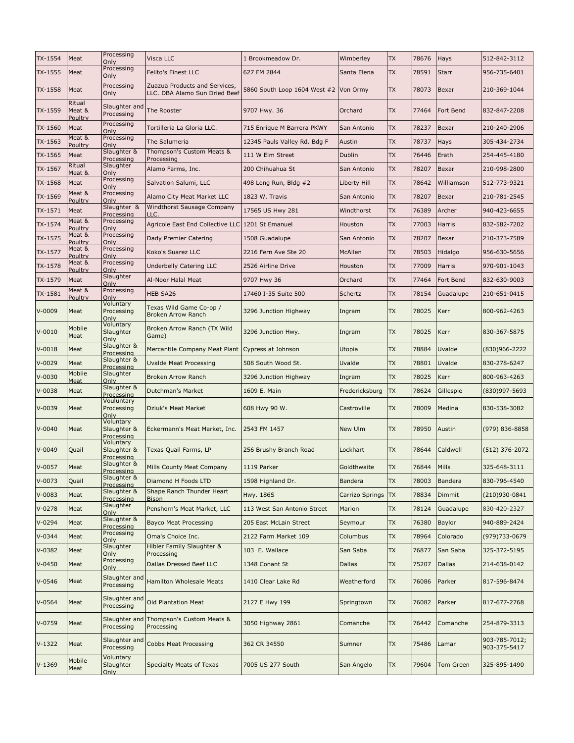| TX-1554    | Meat                        | Processing<br>Only                             | Visca LLC                                                      | 1 Brookmeadow Dr.                     | Wimberley       | <b>TX</b> | 78676       | Hays          | 512-842-3112                  |
|------------|-----------------------------|------------------------------------------------|----------------------------------------------------------------|---------------------------------------|-----------------|-----------|-------------|---------------|-------------------------------|
| TX-1555    | Meat                        | Processing<br>Only                             | Felito's Finest LLC                                            | 627 FM 2844                           | Santa Elena     | <b>TX</b> | 78591       | <b>Starr</b>  | 956-735-6401                  |
| TX-1558    | Meat                        | Processing<br>Only                             | Zuazua Products and Services,<br>LLC. DBA Alamo Sun Dried Beef | 5860 South Loop 1604 West #2 Von Ormy |                 | <b>TX</b> | 78073       | Bexar         | 210-369-1044                  |
| TX-1559    | Ritual<br>Meat &<br>Poultry | Slaughter and<br>Processing                    | The Rooster                                                    | 9707 Hwy. 36                          | Orchard         | <b>TX</b> | 77464       | Fort Bend     | 832-847-2208                  |
| TX-1560    | Meat                        | Processing<br>Only                             | Tortilleria La Gloria LLC.                                     | 715 Enrique M Barrera PKWY            | San Antonio     | <b>TX</b> | 78237       | Bexar         | 210-240-2906                  |
| TX-1563    | Meat &<br>Poultry           | Processing<br>Only                             | The Salumeria                                                  | 12345 Pauls Valley Rd. Bdg F          | Austin          | <b>TX</b> | 78737       | Hays          | 305-434-2734                  |
| TX-1565    | Meat                        | Slaughter &<br>Processing                      | Thompson's Custom Meats &<br>Processing                        | 111 W Elm Street                      | Dublin          | <b>TX</b> | 76446       | Erath         | 254-445-4180                  |
| TX-1567    | Ritual<br>Meat &            | Slaughter<br>Only                              | Alamo Farms, Inc.                                              | 200 Chihuahua St                      | San Antonio     | <b>TX</b> | 78207       | Bexar         | 210-998-2800                  |
| TX-1568    | Meat                        | Processing<br>Only                             | Salvation Salumi, LLC                                          | 498 Long Run, Bldg #2                 | Liberty Hill    | <b>TX</b> | 78642       | Williamson    | 512-773-9321                  |
| TX-1569    | Meat &<br>Poultry           | Processing<br>Only                             | Alamo City Meat Market LLC                                     | 1823 W. Travis                        | San Antonio     | <b>TX</b> | 78207       | Bexar         | 210-781-2545                  |
| TX-1571    | Meat                        | Slaughter &<br>Processing                      | <b>Windthorst Sausage Company</b><br>LLC.                      | 17565 US Hwy 281                      | Windthorst      | <b>TX</b> | 76389       | Archer        | 940-423-6655                  |
| TX-1574    | Meat &<br>Poultry           | Processing<br>Only                             | Agricole East End Collective LLC 1201 St Emanuel               |                                       | Houston         | <b>TX</b> | 77003       | <b>Harris</b> | 832-582-7202                  |
| TX-1575    | Meat &<br>Poultry           | Processing<br>Only                             | Dady Premier Catering                                          | 1508 Guadalupe                        | San Antonio     | <b>TX</b> | 78207       | Bexar         | 210-373-7589                  |
| TX-1577    | Meat &                      | Processing<br>Only                             | Koko's Suarez LLC                                              | 2216 Fern Ave Ste 20                  | McAllen         | <b>TX</b> | 78503       | Hidalgo       | 956-630-5656                  |
| TX-1578    | Poultry<br>Meat &           | Processing                                     | <b>Underbelly Catering LLC</b>                                 | 2526 Airline Drive                    | Houston         | <b>TX</b> | 77009       | <b>Harris</b> | 970-901-1043                  |
| TX-1579    | Poultry<br>Meat             | Only<br>Slaughter                              | Al-Noor Halal Meat                                             | 9707 Hwy 36                           | Orchard         | <b>TX</b> | 77464       | Fort Bend     | 832-630-9003                  |
| TX-1581    | Meat &                      | Only<br>Processing                             | <b>HEB SA26</b>                                                | 17460 I-35 Suite 500                  | Schertz         | <b>TX</b> | 78154       | Guadalupe     | 210-651-0415                  |
| $V - 0009$ | Poultry<br>Meat             | Only<br>Voluntary<br>Processing                | Texas Wild Game Co-op /<br><b>Broken Arrow Ranch</b>           | 3296 Junction Highway                 | Ingram          | <b>TX</b> | 78025       | Kerr          | 800-962-4263                  |
| $V - 0010$ | Mobile<br>Meat              | Only<br>Voluntary<br>Slaughter                 | Broken Arrow Ranch (TX Wild<br>Game)                           | 3296 Junction Hwy.                    | Ingram          | <b>TX</b> | 78025       | Kerr          | 830-367-5875                  |
| $V - 0018$ | Meat                        | Only<br>Slaughter &                            | Mercantile Company Meat Plant                                  | Cypress at Johnson                    | Utopia          | <b>TX</b> | 78884       | Uvalde        | (830)966-2222                 |
| $V - 0029$ | Meat                        | Processing<br>Slaughter &                      | <b>Uvalde Meat Processing</b>                                  | 508 South Wood St.                    | Uvalde          | <b>TX</b> | 78801       | Uvalde        | 830-278-6247                  |
| $V - 0030$ | Mobile                      | Processing<br>Slaughter                        | <b>Broken Arrow Ranch</b>                                      | 3296 Junction Highway                 | Ingram          | <b>TX</b> | 78025       | Kerr          | 800-963-4263                  |
| $V - 0038$ | <u>Meat</u><br>Meat         | Only<br>Slaughter &                            | Dutchman's Market                                              | 1609 E. Main                          | Fredericksburg  | <b>TX</b> | 78624       | Gillespie     | (830)997-5693                 |
| $V - 0039$ | Meat                        | Processing<br>Vouluntary<br>Processing         | Dziuk's Meat Market                                            | 608 Hwy 90 W.                         | Castroville     | <b>TX</b> | 78009       | Medina        | 830-538-3082                  |
| $V - 0040$ | Meat                        | Only<br>Voluntary<br>Slaughter &               | Eckermann's Meat Market, Inc.                                  | 2543 FM 1457                          | New Ulm         | <b>TX</b> | 78950       | Austin        | (979) 836-8858                |
| $V - 0049$ | Quail                       | Processing<br>Voluntary<br>Slaughter &         | Texas Quail Farms, LP                                          | 256 Brushy Branch Road                | Lockhart        | <b>TX</b> | 78644       | Caldwell      | $(512)$ 376-2072              |
| $V - 0057$ | Meat                        | Processing<br>Slaughter &                      | <b>Mills County Meat Company</b>                               | 1119 Parker                           | Goldthwaite     | <b>TX</b> | 76844 Mills |               | 325-648-3111                  |
| $V - 0073$ | Quail                       | <b>Processing</b><br>Slaughter &<br>Processing | Diamond H Foods LTD                                            | 1598 Highland Dr.                     | Bandera         | <b>TX</b> | 78003       | Bandera       | 830-796-4540                  |
| $V - 0083$ | Meat                        | Slaughter &                                    | Shape Ranch Thunder Heart                                      | Hwy. 186S                             | Carrizo Springs | <b>TX</b> | 78834       | Dimmit        | (210)930-0841                 |
| $V-0278$   | Meat                        | Processing<br>Slaughter                        | <b>Bison</b><br>Penshorn's Meat Market, LLC                    | 113 West San Antonio Street           | Marion          | TX        | 78124       | Guadalupe     | 830-420-2327                  |
| $V - 0294$ | Meat                        | Only<br>Slaughter &                            | <b>Bayco Meat Processing</b>                                   | 205 East McLain Street                | Seymour         | TX        | 76380       | Baylor        | 940-889-2424                  |
| $V - 0344$ | Meat                        | Processing<br>Processing                       | Oma's Choice Inc.                                              | 2122 Farm Market 109                  | Columbus        | <b>TX</b> | 78964       | Colorado      | (979) 733-0679                |
| $V-0382$   | Meat                        | Only<br>Slaughter                              | Hibler Family Slaughter &                                      | 103 E. Wallace                        | San Saba        | TX        | 76877       | San Saba      | 325-372-5195                  |
| $V - 0450$ | Meat                        | Only<br>Processing                             | Processing<br>Dallas Dressed Beef LLC                          | 1348 Conant St                        | Dallas          | <b>TX</b> | 75207       | <b>Dallas</b> | 214-638-0142                  |
| $V - 0546$ | Meat                        | Only<br>Slaughter and<br>Processing            | <b>Hamilton Wholesale Meats</b>                                | 1410 Clear Lake Rd                    | Weatherford     | <b>TX</b> | 76086       | Parker        | 817-596-8474                  |
| $V - 0564$ | Meat                        | Slaughter and<br>Processing                    | <b>Old Plantation Meat</b>                                     | 2127 E Hwy 199                        | Springtown      | <b>TX</b> | 76082       | Parker        | 817-677-2768                  |
| $V-0759$   | Meat                        | Slaughter and<br>Processing                    | Thompson's Custom Meats &<br>Processing                        | 3050 Highway 2861                     | Comanche        | TX        | 76442       | Comanche      | 254-879-3313                  |
| $V-1322$   | Meat                        | Slaughter and<br>Processing                    | <b>Cobbs Meat Processing</b>                                   | 362 CR 34550                          | Sumner          | TX        | 75486       | Lamar         | 903-785-7012;<br>903-375-5417 |
| $V-1369$   | Mobile<br>Meat              | Voluntary<br>Slaughter<br>Only                 | Specialty Meats of Texas                                       | 7005 US 277 South                     | San Angelo      | TX        | 79604       | Tom Green     | 325-895-1490                  |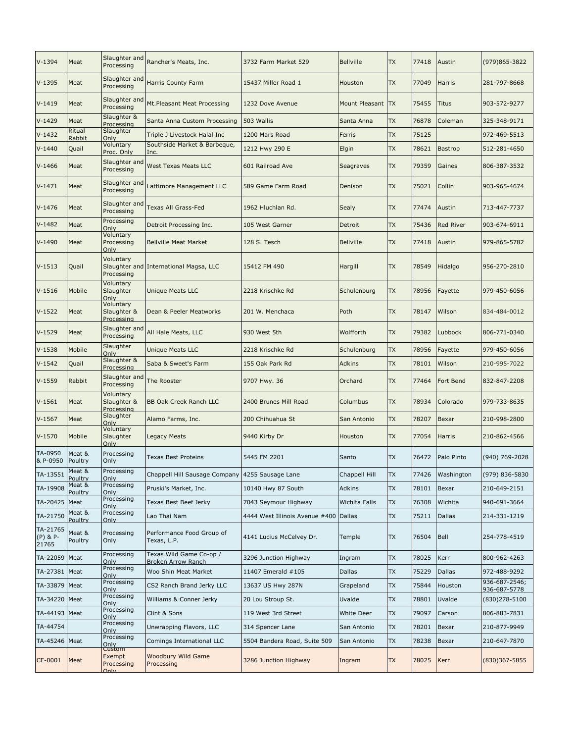| Meat              | Slaughter and<br>Processing             | Rancher's Meats, Inc.                                                                                                                                                                                         | 3732 Farm Market 529                                                 | <b>Bellville</b>                                | <b>TX</b> | 77418             | Austin           | (979)865-3822                 |
|-------------------|-----------------------------------------|---------------------------------------------------------------------------------------------------------------------------------------------------------------------------------------------------------------|----------------------------------------------------------------------|-------------------------------------------------|-----------|-------------------|------------------|-------------------------------|
| Meat              | Slaughter and<br>Processing             | <b>Harris County Farm</b>                                                                                                                                                                                     | 15437 Miller Road 1                                                  | Houston                                         | <b>TX</b> | 77049             | Harris           | 281-797-8668                  |
| Meat              | Slaughter and<br>Processing             | Mt.Pleasant Meat Processing                                                                                                                                                                                   | 1232 Dove Avenue                                                     |                                                 |           | 75455             | Titus            | 903-572-9277                  |
| Meat              | Slaughter &<br>Processing               | Santa Anna Custom Processing                                                                                                                                                                                  | 503 Wallis                                                           | Santa Anna                                      | <b>TX</b> | 76878             | Coleman          | 325-348-9171                  |
| Ritual            | Slaughter                               | Triple J Livestock Halal Inc                                                                                                                                                                                  | 1200 Mars Road                                                       | Ferris                                          | <b>TX</b> | 75125             |                  | 972-469-5513                  |
| Quail             | Voluntary                               | Southside Market & Barbeque,                                                                                                                                                                                  | 1212 Hwy 290 E                                                       | Elgin                                           | <b>TX</b> | 78621             | <b>Bastrop</b>   | 512-281-4650                  |
| Meat              | Slaughter and<br>Processing             | <b>West Texas Meats LLC</b>                                                                                                                                                                                   | 601 Railroad Ave                                                     | Seagraves                                       | <b>TX</b> | 79359             | Gaines           | 806-387-3532                  |
| Meat              | Slaughter and<br>Processing             | Lattimore Management LLC                                                                                                                                                                                      | 589 Game Farm Road                                                   | Denison                                         | <b>TX</b> | 75021             | Collin           | 903-965-4674                  |
| Meat              | Slaughter and<br>Processing             | Texas All Grass-Fed                                                                                                                                                                                           | 1962 Hluchlan Rd.                                                    | Sealy                                           | <b>TX</b> | 77474             | Austin           | 713-447-7737                  |
| Meat              | Processing                              | Detroit Processing Inc.                                                                                                                                                                                       | 105 West Garner                                                      | Detroit                                         | <b>TX</b> | 75436             | <b>Red River</b> | 903-674-6911                  |
| Meat              | Voluntary<br>Only                       | <b>Bellville Meat Market</b>                                                                                                                                                                                  | 128 S. Tesch                                                         | <b>Bellville</b>                                | <b>TX</b> | 77418             | Austin           | 979-865-5782                  |
| Quail             | Voluntary<br>Processing                 |                                                                                                                                                                                                               | 15412 FM 490                                                         | Hargill                                         | <b>TX</b> | 78549             | Hidalgo          | 956-270-2810                  |
| Mobile            | Slaughter<br>Only                       | <b>Unique Meats LLC</b>                                                                                                                                                                                       | 2218 Krischke Rd                                                     | Schulenburg                                     | <b>TX</b> | 78956             | Fayette          | 979-450-6056                  |
| Meat              | Voluntary<br>Slaughter &<br>Processing  | Dean & Peeler Meatworks                                                                                                                                                                                       | 201 W. Menchaca                                                      | Poth                                            | <b>TX</b> | 78147             | Wilson           | 834-484-0012                  |
| Meat              | Slaughter and<br>Processing             | All Hale Meats, LLC                                                                                                                                                                                           | 930 West 5th                                                         | Wolfforth                                       | <b>TX</b> | 79382             | Lubbock          | 806-771-0340                  |
| Mobile            | Slaughter<br>Only                       | <b>Unique Meats LLC</b>                                                                                                                                                                                       | 2218 Krischke Rd                                                     | Schulenburg                                     | <b>TX</b> | 78956             | Fayette          | 979-450-6056                  |
| Quail             | Slaughter &                             | Saba & Sweet's Farm                                                                                                                                                                                           | 155 Oak Park Rd                                                      | <b>Adkins</b>                                   | <b>TX</b> | 78101             | Wilson           | 210-995-7022                  |
| Rabbit            | Slaughter and<br>Processing             | The Rooster                                                                                                                                                                                                   | 9707 Hwy. 36                                                         | Orchard                                         | <b>TX</b> | 77464             | Fort Bend        | 832-847-2208                  |
| Meat              | Voluntary<br>Slaughter &                | <b>BB Oak Creek Ranch LLC</b>                                                                                                                                                                                 | 2400 Brunes Mill Road                                                | Columbus                                        | <b>TX</b> | 78934             | Colorado         | 979-733-8635                  |
| Meat              | Slaughter                               | Alamo Farms, Inc.                                                                                                                                                                                             | 200 Chihuahua St                                                     | San Antonio                                     | <b>TX</b> | 78207             | Bexar            | 210-998-2800                  |
| Mobile            | Voluntary<br>Slaughter                  | Legacy Meats                                                                                                                                                                                                  | 9440 Kirby Dr                                                        | Houston                                         | <b>TX</b> | 77054             | <b>Harris</b>    | 210-862-4566                  |
| Meat &<br>Poultry | Processing<br>Only                      | <b>Texas Best Proteins</b>                                                                                                                                                                                    | 5445 FM 2201                                                         | Santo                                           | <b>TX</b> | 76472             | Palo Pinto       | (940) 769-2028                |
| Meat &            | Processing                              |                                                                                                                                                                                                               |                                                                      | Chappell Hill                                   | <b>TX</b> | 77426             | Washington       | (979) 836-5830                |
| Meat &            | Processing                              | Pruski's Market, Inc.                                                                                                                                                                                         | 10140 Hwy 87 South                                                   | Adkins                                          | TX        | 78101             | Bexar            | 210-649-2151                  |
| Meat              | Processing                              | Texas Best Beef Jerky                                                                                                                                                                                         | 7043 Seymour Highway                                                 | Wichita Falls                                   | TX        | 76308             | Wichita          | 940-691-3664                  |
| Meat &            | Processing                              | Lao Thai Nam                                                                                                                                                                                                  | 4444 West Illinois Avenue #400                                       | Dallas                                          | <b>TX</b> | 75211             | Dallas           | 214-331-1219                  |
| Meat &<br>Poultry | Processing<br>Only                      | Performance Food Group of<br>Texas, L.P.                                                                                                                                                                      | 4141 Lucius McCelvey Dr.                                             | Temple                                          | <b>TX</b> | 76504             | Bell             | 254-778-4519                  |
| Meat              | Processing                              | Texas Wild Game Co-op /                                                                                                                                                                                       | 3296 Junction Highway                                                | Ingram                                          | TX        | 78025             | Kerr             | 800-962-4263                  |
| Meat              | Processing                              | Woo Shin Meat Market                                                                                                                                                                                          | 11407 Emerald #105                                                   | Dallas                                          | <b>TX</b> | 75229             | Dallas           | 972-488-9292                  |
| Meat              | Processing                              | CS2 Ranch Brand Jerky LLC                                                                                                                                                                                     | 13637 US Hwy 287N                                                    | Grapeland                                       | <b>TX</b> | 75844             | Houston          | 936-687-2546;<br>936-687-5778 |
| Meat              | Processing                              | Williams & Conner Jerky                                                                                                                                                                                       | 20 Lou Stroup St.                                                    | Uvalde                                          | <b>TX</b> | 78801             | Uvalde           | (830)278-5100                 |
| Meat<br>TA-44193  | Processing                              | Clint & Sons                                                                                                                                                                                                  | 119 West 3rd Street                                                  | White Deer                                      | TX        | 79097             | Carson           | 806-883-7831                  |
|                   | Processing                              | Unwrapping Flavors, LLC                                                                                                                                                                                       | 314 Spencer Lane                                                     | San Antonio                                     | TX        | 78201             | Bexar            | 210-877-9949                  |
| Meat              | Processing                              | Comings International LLC                                                                                                                                                                                     | 5504 Bandera Road, Suite 509                                         | San Antonio                                     | TX        | 78238             | Bexar            | 210-647-7870                  |
| Meat              | Processing                              | <b>Woodbury Wild Game</b><br>Processing                                                                                                                                                                       | 3286 Junction Highway                                                | Ingram                                          | <b>TX</b> | 78025             | Kerr             | $(830)367 - 5855$             |
|                   | Rabbit<br>Poultry<br>Poultry<br>Poultry | Only<br>Proc. Only<br>Only<br>Processing<br>Voluntary<br>Processing<br>Processing<br>Only<br>Only<br>Only<br>Only<br>Only<br>Only<br>Only<br>Only<br>Only<br>Only<br>Only<br>Only<br>Only<br>Custom<br>Exempt | Inc.<br>Slaughter and International Magsa, LLC<br>Broken Arrow Ranch | Chappell Hill Sausage Company 4255 Sausage Lane |           | Mount Pleasant TX |                  |                               |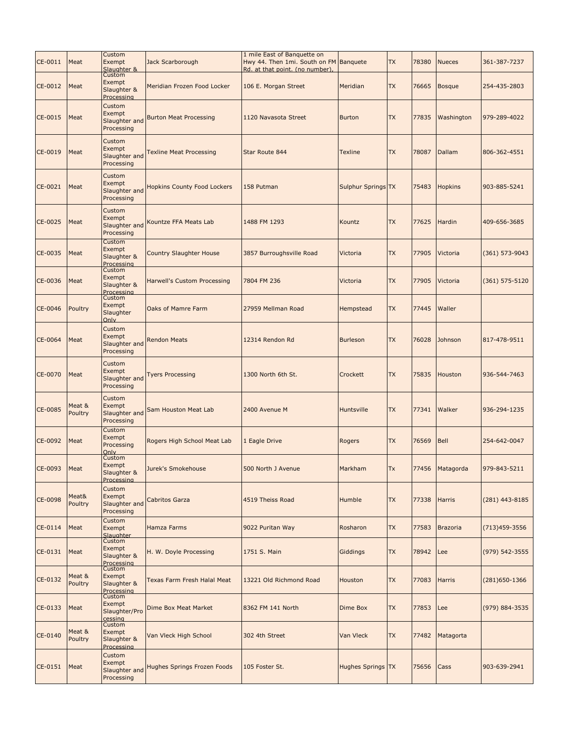| CE-0011        | Meat              | Custom<br>Exempt<br>Slaughter &                 | Jack Scarborough                   | 1 mile East of Banquette on<br>Hwy 44. Then 1mi. South on FM Banquete<br>Rd. at that point. (no number). |                    | <b>TX</b> | 78380 | <b>Nueces</b>   | 361-387-7237       |
|----------------|-------------------|-------------------------------------------------|------------------------------------|----------------------------------------------------------------------------------------------------------|--------------------|-----------|-------|-----------------|--------------------|
| CE-0012        | Meat              | Custom<br>Exempt<br>Slaughter &<br>Processing   | Meridian Frozen Food Locker        | 106 E. Morgan Street                                                                                     | Meridian           | <b>TX</b> | 76665 | <b>Bosque</b>   | 254-435-2803       |
| CE-0015        | Meat              | Custom<br>Exempt<br>Slaughter and<br>Processing | <b>Burton Meat Processing</b>      | 1120 Navasota Street                                                                                     | <b>Burton</b>      | <b>TX</b> | 77835 | Washington      | 979-289-4022       |
| CE-0019        | Meat              | Custom<br>Exempt<br>Slaughter and<br>Processing | <b>Texline Meat Processing</b>     | Star Route 844                                                                                           | <b>Texline</b>     | <b>TX</b> | 78087 | Dallam          | 806-362-4551       |
| CE-0021        | Meat              | Custom<br>Exempt<br>Slaughter and<br>Processing | <b>Hopkins County Food Lockers</b> | 158 Putman                                                                                               | Sulphur Springs TX |           | 75483 | <b>Hopkins</b>  | 903-885-5241       |
| CE-0025        | Meat              | Custom<br>Exempt<br>Slaughter and<br>Processing | Kountze FFA Meats Lab              | 1488 FM 1293                                                                                             | Kountz             | <b>TX</b> | 77625 | Hardin          | 409-656-3685       |
| CE-0035        | Meat              | Custom<br>Exempt<br>Slaughter &<br>Processing   | <b>Country Slaughter House</b>     | 3857 Burroughsville Road                                                                                 | Victoria           | <b>TX</b> | 77905 | Victoria        | $(361) 573 - 9043$ |
| CE-0036        | Meat              | Custom<br>Exempt<br>Slaughter &<br>Processing   | Harwell's Custom Processing        | 7804 FM 236                                                                                              | Victoria           | <b>TX</b> | 77905 | Victoria        | $(361)$ 575-5120   |
| CE-0046        | Poultry           | Custom<br>Exempt<br>Slaughter<br>Only           | <b>Oaks of Mamre Farm</b>          | 27959 Mellman Road                                                                                       | Hempstead          | <b>TX</b> | 77445 | Waller          |                    |
| CE-0064        | Meat              | Custom<br>Exempt<br>Slaughter and<br>Processing | <b>Rendon Meats</b>                | 12314 Rendon Rd                                                                                          | <b>Burleson</b>    | <b>TX</b> | 76028 | Johnson         | 817-478-9511       |
| CE-0070        | Meat              | Custom<br>Exempt<br>Slaughter and<br>Processing | <b>Tyers Processing</b>            | 1300 North 6th St.                                                                                       | Crockett           | <b>TX</b> | 75835 | Houston         | 936-544-7463       |
| CE-0085        | Meat &<br>Poultry | Custom<br>Exempt<br>Slaughter and<br>Processing | Sam Houston Meat Lab               | 2400 Avenue M                                                                                            | Huntsville         | <b>TX</b> | 77341 | Walker          | 936-294-1235       |
| CE-0092        | Meat              | Custom<br>Exempt<br>Processing<br>Only          | Rogers High School Meat Lab        | 1 Eagle Drive                                                                                            | Rogers             | <b>TX</b> | 76569 | Bell            | 254-642-0047       |
| CE-0093 Meat   |                   | Custom<br>Exempt<br>Slaughter &<br>Processing   | Jurek's Smokehouse                 | 500 North J Avenue                                                                                       | Markham            | Tx        | 77456 | Matagorda       | 979-843-5211       |
| <b>CE-0098</b> | Meat&<br>Poultry  | Custom<br>Exempt<br>Slaughter and<br>Processing | Cabritos Garza                     | 4519 Theiss Road                                                                                         | Humble             | <b>TX</b> | 77338 | Harris          | $(281)$ 443-8185   |
| CE-0114        | Meat              | Custom<br>Exempt<br>Slaughter                   | Hamza Farms                        | 9022 Puritan Way                                                                                         | Rosharon           | <b>TX</b> | 77583 | <b>Brazoria</b> | $(713)459 - 3556$  |
| CE-0131        | Meat              | Custom<br>Exempt<br>Slaughter &<br>Processing   | H. W. Doyle Processing             | 1751 S. Main                                                                                             | Giddings           | <b>TX</b> | 78942 | Lee             | (979) 542-3555     |
| CE-0132        | Meat &<br>Poultry | Custom<br>Exempt<br>Slaughter &<br>Processing   | Texas Farm Fresh Halal Meat        | 13221 Old Richmond Road                                                                                  | Houston            | <b>TX</b> | 77083 | <b>Harris</b>   | $(281)$ 650-1366   |
| CE-0133        | Meat              | Custom<br>Exempt<br>Slaughter/Pro<br>cessing    | Dime Box Meat Market               | 8362 FM 141 North                                                                                        | Dime Box           | <b>TX</b> | 77853 | Lee             | (979) 884-3535     |
| CE-0140        | Meat &<br>Poultry | Custom<br>Exempt<br>Slaughter &<br>Processing   | Van Vleck High School              | 302 4th Street                                                                                           | Van Vleck          | <b>TX</b> | 77482 | Matagorta       |                    |
| CE-0151        | Meat              | Custom<br>Exempt<br>Slaughter and<br>Processing | Hughes Springs Frozen Foods        | 105 Foster St.                                                                                           | Hughes Springs TX  |           | 75656 | Cass            | 903-639-2941       |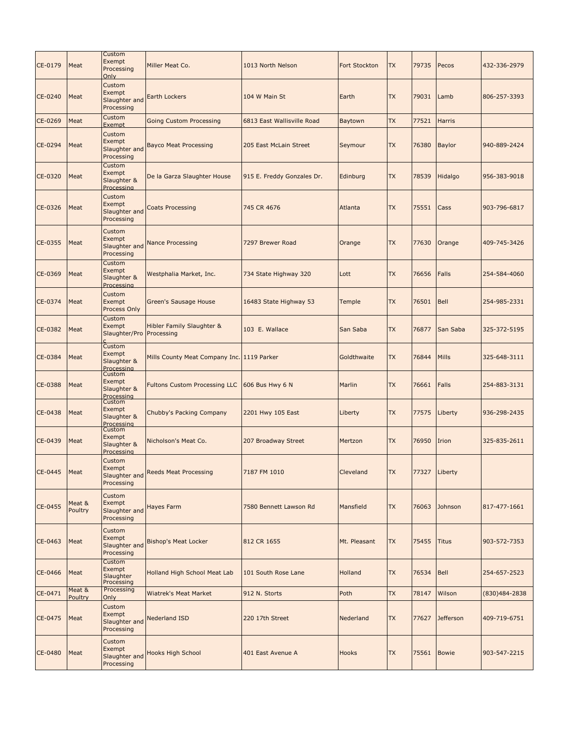| CE-0179      | Meat              | Custom<br>Exempt<br>Processing<br>Only                  | Miller Meat Co.                            | 1013 North Nelson          | <b>Fort Stockton</b> | <b>TX</b> | 79735         | Pecos         | 432-336-2979  |
|--------------|-------------------|---------------------------------------------------------|--------------------------------------------|----------------------------|----------------------|-----------|---------------|---------------|---------------|
| CE-0240      | Meat              | Custom<br>Exempt<br>Slaughter and<br>Processing         | <b>Earth Lockers</b>                       | 104 W Main St              | Earth                | <b>TX</b> | 79031         | Lamb          | 806-257-3393  |
| CE-0269      | Meat              | Custom<br>Exempt                                        | <b>Going Custom Processing</b>             | 6813 East Wallisville Road | Baytown              | <b>TX</b> | 77521         | <b>Harris</b> |               |
| CE-0294      | Meat              | Custom<br>Exempt<br>Slaughter and<br>Processing         | <b>Bayco Meat Processing</b>               | 205 East McLain Street     | Seymour              | <b>TX</b> | 76380         | <b>Baylor</b> | 940-889-2424  |
| CE-0320      | Meat              | Custom<br>Exempt<br>Slaughter &<br>Processing           | De la Garza Slaughter House                | 915 E. Freddy Gonzales Dr. | Edinburg             | <b>TX</b> | 78539         | Hidalgo       | 956-383-9018  |
| CE-0326      | Meat              | Custom<br>Exempt<br>Slaughter and<br>Processing         | <b>Coats Processing</b>                    | 745 CR 4676                | Atlanta              | <b>TX</b> | 75551         | Cass          | 903-796-6817  |
| CE-0355      | Meat              | Custom<br>Exempt<br>Slaughter and<br>Processing         | <b>Nance Processing</b>                    | 7297 Brewer Road           | Orange               | <b>TX</b> | 77630         | Orange        | 409-745-3426  |
| CE-0369      | Meat              | Custom<br>Exempt<br>Slaughter &<br>Processing           | Westphalia Market, Inc.                    | 734 State Highway 320      | Lott                 | <b>TX</b> | 76656         | Falls         | 254-584-4060  |
| CE-0374      | Meat              | Custom<br>Exempt<br>Process Only                        | <b>Green's Sausage House</b>               | 16483 State Highway 53     | Temple               | <b>TX</b> | 76501         | Bell          | 254-985-2331  |
| CE-0382      | Meat              | Custom<br>Exempt<br>Slaughter/Pro                       | Hibler Family Slaughter &<br>Processing    | 103 E. Wallace             | San Saba             | <b>TX</b> | 76877         | San Saba      | 325-372-5195  |
| CE-0384      | Meat              | Custom<br>Exempt<br>Slaughter &<br>Processing           | Mills County Meat Company Inc. 1119 Parker |                            | Goldthwaite          | <b>TX</b> | 76844         | Mills         | 325-648-3111  |
| CE-0388      | Meat              | Custom<br>Exempt<br>Slaughter &<br>Processing<br>Custom | <b>Fultons Custom Processing LLC</b>       | 606 Bus Hwy 6 N            | Marlin               | <b>TX</b> | 76661         | <b>Falls</b>  | 254-883-3131  |
| CE-0438      | Meat              | Exempt<br>Slaughter &<br>Processing                     | Chubby's Packing Company                   | 2201 Hwy 105 East          | Liberty              | <b>TX</b> | 77575         | Liberty       | 936-298-2435  |
| CE-0439      | Meat              | Custom<br>Exempt<br>Slaughter &<br>Processing           | Nicholson's Meat Co.                       | 207 Broadway Street        | Mertzon              | <b>TX</b> | 76950         | Irion         | 325-835-2611  |
| CE-0445 Meat |                   | Custom<br>Exempt<br>Slaughter and<br>Processing         | <b>Reeds Meat Processing</b>               | 7187 FM 1010               | Cleveland            | <b>TX</b> | 77327 Liberty |               |               |
| CE-0455      | Meat &<br>Poultry | Custom<br>Exempt<br>Slaughter and<br>Processing         | <b>Hayes Farm</b>                          | 7580 Bennett Lawson Rd     | Mansfield            | <b>TX</b> | 76063         | Johnson       | 817-477-1661  |
| CE-0463      | Meat              | Custom<br>Exempt<br>Slaughter and<br>Processing         | <b>Bishop's Meat Locker</b>                | 812 CR 1655                | Mt. Pleasant         | <b>TX</b> | 75455         | <b>Titus</b>  | 903-572-7353  |
| CE-0466      | Meat              | Custom<br>Exempt<br>Slaughter<br>Processing             | Holland High School Meat Lab               | 101 South Rose Lane        | Holland              | <b>TX</b> | 76534         | Bell          | 254-657-2523  |
| CE-0471      | Meat &<br>Poultry | Processing<br>Only                                      | <b>Wiatrek's Meat Market</b>               | 912 N. Storts              | Poth                 | <b>TX</b> | 78147         | Wilson        | (830)484-2838 |
| CE-0475      | Meat              | Custom<br>Exempt<br>Slaughter and<br>Processing         | <b>Nederland ISD</b>                       | 220 17th Street            | Nederland            | <b>TX</b> | 77627         | Jefferson     | 409-719-6751  |
| CE-0480      | Meat              | Custom<br>Exempt<br>Slaughter and<br>Processing         | <b>Hooks High School</b>                   | 401 East Avenue A          | Hooks                | <b>TX</b> | 75561         | <b>Bowie</b>  | 903-547-2215  |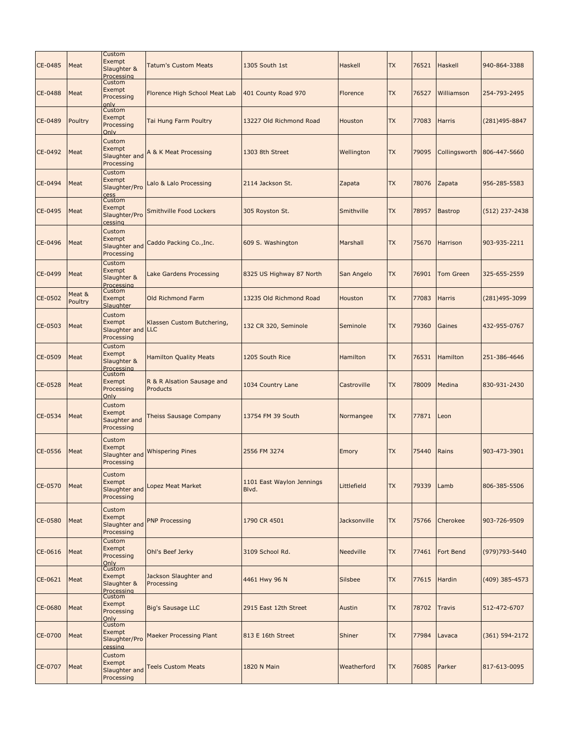| CE-0485 | Meat              | Custom<br>Exempt<br>Slaughter &<br>Processing       | <b>Tatum's Custom Meats</b>            | 1305 South 1st                     | <b>Haskell</b> | <b>TX</b> | 76521 | Haskell          | 940-864-3388       |
|---------|-------------------|-----------------------------------------------------|----------------------------------------|------------------------------------|----------------|-----------|-------|------------------|--------------------|
| CE-0488 | Meat              | Custom<br>Exempt<br>Processing                      | Florence High School Meat Lab          | 401 County Road 970                | Florence       | <b>TX</b> | 76527 | Williamson       | 254-793-2495       |
| CE-0489 | Poultry           | only<br>Custom<br>Exempt<br>Processing<br>Only      | Tai Hung Farm Poultry                  | 13227 Old Richmond Road            | Houston        | <b>TX</b> | 77083 | Harris           | $(281)495 - 8847$  |
| CE-0492 | Meat              | Custom<br>Exempt<br>Slaughter and<br>Processing     | A & K Meat Processing                  | 1303 8th Street                    | Wellington     | <b>TX</b> | 79095 | Collingsworth    | 806-447-5660       |
| CE-0494 | Meat              | Custom<br>Exempt<br>Slaughter/Pro<br>cess           | Lalo & Lalo Processing                 | 2114 Jackson St.                   | Zapata         | <b>TX</b> | 78076 | Zapata           | 956-285-5583       |
| CE-0495 | Meat              | Custom<br>Exempt<br>Slaughter/Pro<br>cessing        | Smithville Food Lockers                | 305 Royston St.                    | Smithville     | <b>TX</b> | 78957 | <b>Bastrop</b>   | $(512)$ 237-2438   |
| CE-0496 | Meat              | Custom<br>Exempt<br>Slaughter and<br>Processing     | Caddo Packing Co., Inc.                | 609 S. Washington                  | Marshall       | <b>TX</b> | 75670 | Harrison         | 903-935-2211       |
| CE-0499 | Meat              | Custom<br>Exempt<br>Slaughter &<br>Processing       | Lake Gardens Processing                | 8325 US Highway 87 North           | San Angelo     | <b>TX</b> | 76901 | <b>Tom Green</b> | 325-655-2559       |
| CE-0502 | Meat &<br>Poultry | Custom<br>Exempt<br>Slaughter                       | Old Richmond Farm                      | 13235 Old Richmond Road            | Houston        | <b>TX</b> | 77083 | <b>Harris</b>    | (281)495-3099      |
| CE-0503 | Meat              | Custom<br>Exempt<br>Slaughter and LLC<br>Processing | Klassen Custom Butchering,             | 132 CR 320, Seminole               | Seminole       | <b>TX</b> | 79360 | Gaines           | 432-955-0767       |
| CE-0509 | Meat              | Custom<br>Exempt<br>Slaughter &<br>Processing       | <b>Hamilton Quality Meats</b>          | 1205 South Rice                    | Hamilton       | <b>TX</b> | 76531 | <b>Hamilton</b>  | 251-386-4646       |
| CE-0528 | Meat              | Custom<br>Exempt<br>Processing<br>Only              | R & R Alsation Sausage and<br>Products | 1034 Country Lane                  | Castroville    | <b>TX</b> | 78009 | Medina           | 830-931-2430       |
| CE-0534 | Meat              | Custom<br>Exempt<br>Saughter and<br>Processing      | Theiss Sausage Company                 | 13754 FM 39 South                  | Normangee      | <b>TX</b> | 77871 | Leon             |                    |
| CE-0556 | Meat              | Custom<br>Exempt<br>Slaughter and<br>Processing     | <b>Whispering Pines</b>                | 2556 FM 3274                       | <b>Emory</b>   | <b>TX</b> | 75440 | Rains            | 903-473-3901       |
| CE-0570 | Meat              | Custom<br>Exempt<br>Slaughter and<br>Processing     | opez Meat Market                       | 1101 East Waylon Jennings<br>Blvd. | Littlefield    | <b>TX</b> | 79339 | Lamb             | 806-385-5506       |
| CE-0580 | Meat              | Custom<br>Exempt<br>Slaughter and<br>Processing     | <b>PNP Processing</b>                  | 1790 CR 4501                       | Jacksonville   | <b>TX</b> | 75766 | Cherokee         | 903-726-9509       |
| CE-0616 | Meat              | Custom<br>Exempt<br>Processing<br>Only              | Ohl's Beef Jerky                       | 3109 School Rd.                    | Needville      | <b>TX</b> | 77461 | Fort Bend        | (979) 793-5440     |
| CE-0621 | Meat              | Custom<br>Exempt<br>Slaughter &<br>Processing       | Jackson Slaughter and<br>Processing    | 4461 Hwy 96 N                      | <b>Silsbee</b> | <b>TX</b> | 77615 | Hardin           | (409) 385-4573     |
| CE-0680 | Meat              | Custom<br>Exempt<br>Processing<br>Only              | <b>Big's Sausage LLC</b>               | 2915 East 12th Street              | Austin         | <b>TX</b> | 78702 | <b>Travis</b>    | 512-472-6707       |
| CE-0700 | Meat              | Custom<br>Exempt<br>Slaughter/Pro<br>cessing        | Maeker Processing Plant                | 813 E 16th Street                  | Shiner         | <b>TX</b> | 77984 | Lavaca           | $(361) 594 - 2172$ |
| CE-0707 | Meat              | Custom<br>Exempt<br>Slaughter and<br>Processing     | <b>Teels Custom Meats</b>              | 1820 N Main                        | Weatherford    | <b>TX</b> | 76085 | Parker           | 817-613-0095       |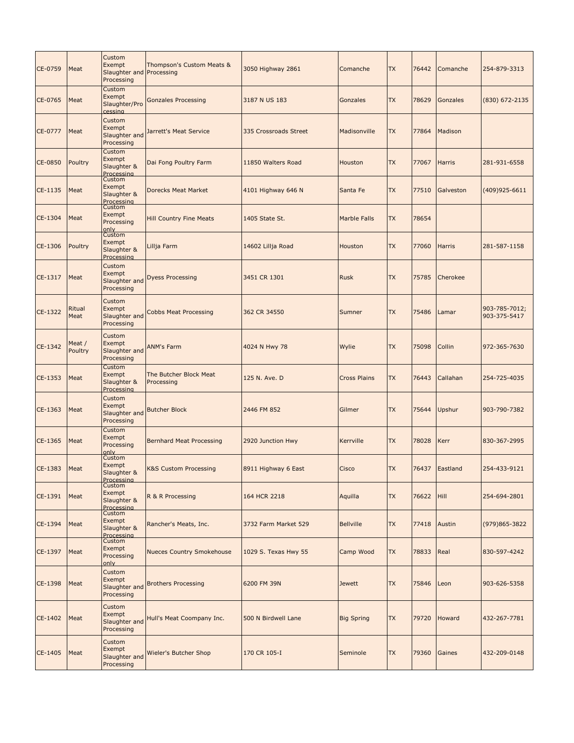| CE-0759 | Meat              | Custom<br>Exempt<br>Slaughter and Processing<br>Processing | Thompson's Custom Meats &            | 3050 Highway 2861     | Comanche            | <b>TX</b> | 76442 | Comanche        | 254-879-3313                  |
|---------|-------------------|------------------------------------------------------------|--------------------------------------|-----------------------|---------------------|-----------|-------|-----------------|-------------------------------|
| CE-0765 | Meat              | Custom<br>Exempt<br>Slaughter/Pro<br>cessing               | <b>Gonzales Processing</b>           | 3187 N US 183         | Gonzales            | <b>TX</b> | 78629 | <b>Gonzales</b> | (830) 672-2135                |
| CE-0777 | Meat              | Custom<br>Exempt<br>Slaughter and<br>Processing            | Jarrett's Meat Service               | 335 Crossroads Street | Madisonville        | <b>TX</b> | 77864 | <b>Madison</b>  |                               |
| CE-0850 | Poultry           | Custom<br>Exempt<br>Slaughter &<br>Processing              | Dai Fong Poultry Farm                | 11850 Walters Road    | Houston             | <b>TX</b> | 77067 | Harris          | 281-931-6558                  |
| CE-1135 | Meat              | Custom<br>Exempt<br>Slaughter &<br>Processing              | Dorecks Meat Market                  | 4101 Highway 646 N    | Santa Fe            | <b>TX</b> | 77510 | Galveston       | $(409)925 - 6611$             |
| CE-1304 | Meat              | Custom<br>Exempt<br>Processing<br>only                     | <b>Hill Country Fine Meats</b>       | 1405 State St.        | <b>Marble Falls</b> | <b>TX</b> | 78654 |                 |                               |
| CE-1306 | Poultry           | Custom<br>Exempt<br>Slaughter &<br>Processing              | Lillja Farm                          | 14602 Lillja Road     | Houston             | <b>TX</b> | 77060 | Harris          | 281-587-1158                  |
| CE-1317 | Meat              | Custom<br>Exempt<br>Slaughter and<br>Processing            | <b>Dyess Processing</b>              | 3451 CR 1301          | <b>Rusk</b>         | <b>TX</b> | 75785 | Cherokee        |                               |
| CE-1322 | Ritual<br>Meat    | Custom<br>Exempt<br>Slaughter and<br>Processing            | <b>Cobbs Meat Processing</b>         | 362 CR 34550          | Sumner              | <b>TX</b> | 75486 | Lamar           | 903-785-7012;<br>903-375-5417 |
| CE-1342 | Meat /<br>Poultry | Custom<br>Exempt<br>Slaughter and<br>Processing            | <b>ANM's Farm</b>                    | 4024 N Hwy 78         | Wylie               | <b>TX</b> | 75098 | Collin          | 972-365-7630                  |
| CE-1353 | Meat              | Custom<br>Exempt<br>Slaughter &<br>Processing              | The Butcher Block Meat<br>Processing | 125 N. Ave. D         | <b>Cross Plains</b> | <b>TX</b> | 76443 | Callahan        | 254-725-4035                  |
| CE-1363 | Meat              | Custom<br>Exempt<br>Slaughter and<br>Processing            | <b>Butcher Block</b>                 | 2446 FM 852           | Gilmer              | <b>TX</b> | 75644 | Upshur          | 903-790-7382                  |
| CE-1365 | Meat              | Custom<br>Exempt<br>Processing<br>only                     | <b>Bernhard Meat Processing</b>      | 2920 Junction Hwy     | Kerrville           | <b>TX</b> | 78028 | Kerr            | 830-367-2995                  |
| CE-1383 | Meat              | Custom<br>Exempt<br>Slaughter &<br>Processing              | <b>K&amp;S Custom Processing</b>     | 8911 Highway 6 East   | <b>Cisco</b>        | <b>TX</b> |       | 76437 Eastland  | 254-433-9121                  |
| CE-1391 | Meat              | Custom<br>Exempt<br>Slaughter &<br>Processing              | R & R Processing                     | 164 HCR 2218          | Aquilla             | <b>TX</b> | 76622 | Hill            | 254-694-2801                  |
| CE-1394 | Meat              | Custom<br>Exempt<br>Slaughter &<br>Processing              | Rancher's Meats, Inc.                | 3732 Farm Market 529  | <b>Bellville</b>    | <b>TX</b> | 77418 | Austin          | (979) 865-3822                |
| CE-1397 | Meat              | Custom<br>Exempt<br>Processing<br>only                     | <b>Nueces Country Smokehouse</b>     | 1029 S. Texas Hwy 55  | Camp Wood           | <b>TX</b> | 78833 | Real            | 830-597-4242                  |
| CE-1398 | Meat              | Custom<br>Exempt<br>Slaughter and<br>Processing            | <b>Brothers Processing</b>           | 6200 FM 39N           | <b>Jewett</b>       | <b>TX</b> | 75846 | Leon            | 903-626-5358                  |
| CE-1402 | Meat              | Custom<br>Exempt<br>Slaughter and<br>Processing            | Hull's Meat Coompany Inc.            | 500 N Birdwell Lane   | <b>Big Spring</b>   | <b>TX</b> | 79720 | Howard          | 432-267-7781                  |
| CE-1405 | Meat              | Custom<br>Exempt<br>Slaughter and<br>Processing            | Wieler's Butcher Shop                | 170 CR 105-I          | Seminole            | <b>TX</b> | 79360 | Gaines          | 432-209-0148                  |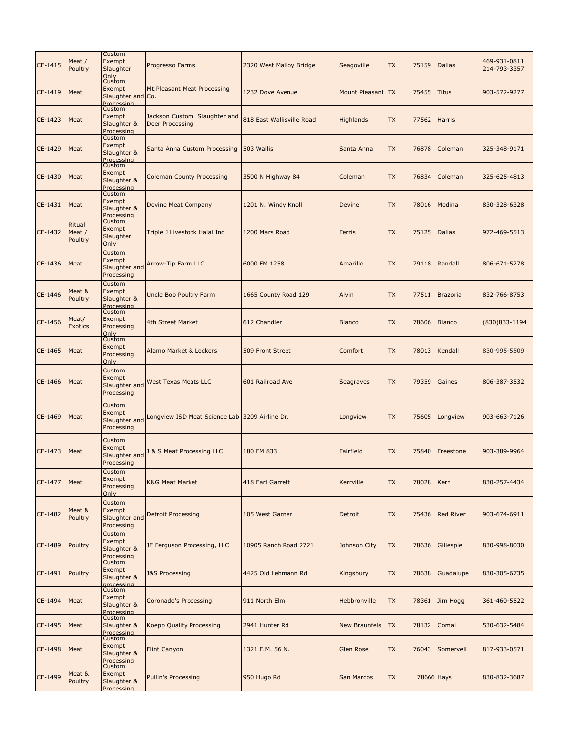| CE-1415 | Meat /<br>Poultry           | Custom<br>Exempt<br>Slaughter                               | Progresso Farms                                        | 2320 West Malloy Bridge   | Seagoville           | <b>TX</b> | 75159      | <b>Dallas</b>    | 469-931-0811<br>214-793-3357 |
|---------|-----------------------------|-------------------------------------------------------------|--------------------------------------------------------|---------------------------|----------------------|-----------|------------|------------------|------------------------------|
| CE-1419 | Meat                        | Only<br>Custom<br>Exempt<br>Slaughter and Co.<br>Processing | Mt.Pleasant Meat Processing                            | 1232 Dove Avenue          | Mount Pleasant TX    |           | 75455      | <b>Titus</b>     | 903-572-9277                 |
| CE-1423 | Meat                        | Custom<br>Exempt<br>Slaughter &<br>Processing               | Jackson Custom Slaughter and<br><b>Deer Processing</b> | 818 East Wallisville Road | <b>Highlands</b>     | <b>TX</b> | 77562      | <b>Harris</b>    |                              |
| CE-1429 | Meat                        | Custom<br>Exempt<br>Slaughter &<br>Processing               | Santa Anna Custom Processing                           | 503 Wallis                | Santa Anna           | <b>TX</b> | 76878      | Coleman          | 325-348-9171                 |
| CE-1430 | Meat                        | Custom<br>Exempt<br>Slaughter &<br>Processing               | <b>Coleman County Processing</b>                       | 3500 N Highway 84         | Coleman              | <b>TX</b> | 76834      | Coleman          | 325-625-4813                 |
| CE-1431 | Meat                        | Custom<br>Exempt<br>Slaughter &<br>Processing               | Devine Meat Company                                    | 1201 N. Windy Knoll       | <b>Devine</b>        | <b>TX</b> | 78016      | Medina           | 830-328-6328                 |
| CE-1432 | Ritual<br>Meat /<br>Poultry | Custom<br>Exempt<br>Slaughter<br>Only                       | Triple J Livestock Halal Inc                           | 1200 Mars Road            | Ferris               | <b>TX</b> | 75125      | <b>Dallas</b>    | 972-469-5513                 |
| CE-1436 | Meat                        | Custom<br>Exempt<br>Slaughter and<br>Processing             | Arrow-Tip Farm LLC                                     | 6000 FM 1258              | Amarillo             | <b>TX</b> | 79118      | Randall          | 806-671-5278                 |
| CE-1446 | Meat &<br>Poultry           | Custom<br>Exempt<br>Slaughter &<br>Processing               | <b>Uncle Bob Poultry Farm</b>                          | 1665 County Road 129      | Alvin                | <b>TX</b> | 77511      | <b>Brazoria</b>  | 832-766-8753                 |
| CE-1456 | Meat/<br><b>Exotics</b>     | Custom<br>Exempt<br>Processing<br>Only                      | 4th Street Market                                      | 612 Chandler              | <b>Blanco</b>        | <b>TX</b> | 78606      | <b>Blanco</b>    | (830) 833-1194               |
| CE-1465 | Meat                        | Custom<br>Exempt<br>Processing<br>Only                      | Alamo Market & Lockers                                 | 509 Front Street          | Comfort              | <b>TX</b> | 78013      | Kendall          | 830-995-5509                 |
| CE-1466 | Meat                        | Custom<br>Exempt<br>Slaughter and<br>Processing             | <b>West Texas Meats LLC</b>                            | 601 Railroad Ave          | Seagraves            | <b>TX</b> | 79359      | Gaines           | 806-387-3532                 |
| CE-1469 | Meat                        | Custom<br>Exempt<br>Slaughter and<br>Processing             | Longview ISD Meat Science Lab                          | 3209 Airline Dr.          | Longview             | <b>TX</b> | 75605      | Longview         | 903-663-7126                 |
| CE-1473 | Meat                        | Custom<br>Exempt<br>Slaughter and<br>Processing             | & S Meat Processing LLC                                | 180 FM 833                | Fairfield            | <b>TX</b> | 75840      | Freestone        | 903-389-9964                 |
| CE-1477 | Meat                        | Custom<br>Exempt<br>Processing<br>Only                      | <b>K&amp;G Meat Market</b>                             | 418 Earl Garrett          | Kerrville            | <b>TX</b> | 78028      | Kerr             | 830-257-4434                 |
| CE-1482 | Meat &<br>Poultry           | Custom<br>Exempt<br>Slaughter and<br>Processing             | <b>Detroit Processing</b>                              | 105 West Garner           | <b>Detroit</b>       | <b>TX</b> | 75436      | <b>Red River</b> | 903-674-6911                 |
| CE-1489 | Poultry                     | Custom<br>Exempt<br>Slaughter &<br>Processing               | JE Ferguson Processing, LLC                            | 10905 Ranch Road 2721     | Johnson City         | <b>TX</b> | 78636      | Gillespie        | 830-998-8030                 |
| CE-1491 | Poultry                     | Custom<br>Exempt<br>Slaughter &<br>processing               | <b>J&amp;S Processing</b>                              | 4425 Old Lehmann Rd       | Kingsbury            | <b>TX</b> | 78638      | Guadalupe        | 830-305-6735                 |
| CE-1494 | Meat                        | Custom<br>Exempt<br>Slaughter &<br>Processing               | <b>Coronado's Processing</b>                           | 911 North Elm             | Hebbronville         | <b>TX</b> | 78361      | Jim Hogg         | 361-460-5522                 |
| CE-1495 | Meat                        | Custom<br>Slaughter &<br>Processing                         | Koepp Quality Processing                               | 2941 Hunter Rd            | <b>New Braunfels</b> | <b>TX</b> | 78132      | Comal            | 530-632-5484                 |
| CE-1498 | Meat                        | Custom<br>Exempt<br>Slaughter &<br>Processing               | <b>Flint Canyon</b>                                    | 1321 F.M. 56 N.           | Glen Rose            | <b>TX</b> | 76043      | Somervell        | 817-933-0571                 |
| CE-1499 | Meat &<br>Poultry           | Custom<br>Exempt<br>Slaughter &<br>Processing               | <b>Pullin's Processing</b>                             | 950 Hugo Rd               | San Marcos           | <b>TX</b> | 78666 Hays |                  | 830-832-3687                 |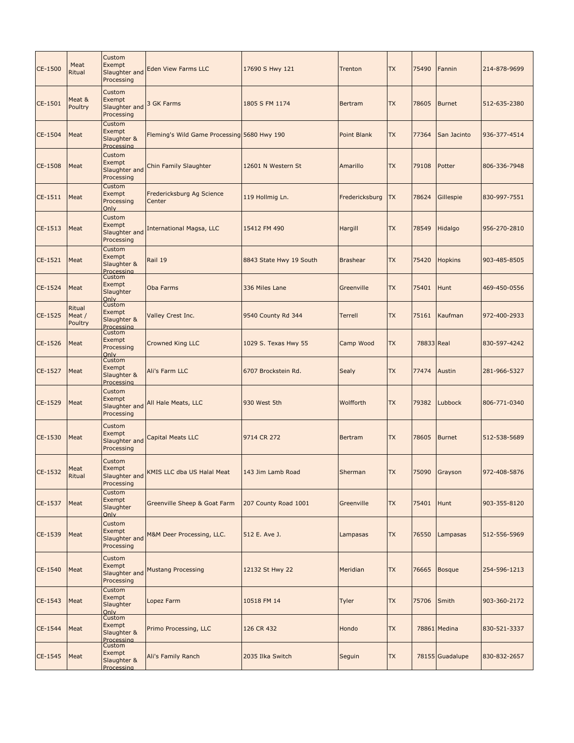| CE-1500 | Meat<br>Ritual              | Custom<br>Exempt<br>Slaughter and<br>Processing         | <b>Eden View Farms LLC</b>                  | 17690 S Hwy 121         | <b>Trenton</b>     | <b>TX</b> | 75490      | Fannin          | 214-878-9699 |
|---------|-----------------------------|---------------------------------------------------------|---------------------------------------------|-------------------------|--------------------|-----------|------------|-----------------|--------------|
| CE-1501 | Meat &<br>Poultry           | Custom<br>Exempt<br>Slaughter and<br>Processing         | 3 GK Farms                                  | 1805 S FM 1174          | Bertram            | <b>TX</b> | 78605      | <b>Burnet</b>   | 512-635-2380 |
| CE-1504 | Meat                        | Custom<br>Exempt<br>Slaughter &<br>Processing           | Fleming's Wild Game Processing 5680 Hwy 190 |                         | <b>Point Blank</b> | <b>TX</b> | 77364      | San Jacinto     | 936-377-4514 |
| CE-1508 | Meat                        | Custom<br>Exempt<br>Slaughter and<br>Processing         | Chin Family Slaughter                       | 12601 N Western St      | Amarillo           | <b>TX</b> | 79108      | Potter          | 806-336-7948 |
| CE-1511 | Meat                        | Custom<br>Exempt<br>Processing<br>Only                  | Fredericksburg Ag Science<br>Center         | 119 Hollmig Ln.         | Fredericksburg     | <b>TX</b> | 78624      | Gillespie       | 830-997-7551 |
| CE-1513 | Meat                        | Custom<br>Exempt<br>Slaughter and<br>Processing         | International Magsa, LLC                    | 15412 FM 490            | Hargill            | <b>TX</b> | 78549      | Hidalgo         | 956-270-2810 |
| CE-1521 | Meat                        | Custom<br>Exempt<br>Slaughter &<br>Processing           | Rail 19                                     | 8843 State Hwy 19 South | <b>Brashear</b>    | <b>TX</b> | 75420      | <b>Hopkins</b>  | 903-485-8505 |
| CE-1524 | Meat                        | Custom<br>Exempt<br>Slaughter<br>Only                   | Oba Farms                                   | 336 Miles Lane          | Greenville         | <b>TX</b> | 75401      | Hunt            | 469-450-0556 |
| CE-1525 | Ritual<br>Meat /<br>Poultry | Custom<br>Exempt<br>Slaughter &<br>Processing           | Valley Crest Inc.                           | 9540 County Rd 344      | <b>Terrell</b>     | <b>TX</b> | 75161      | Kaufman         | 972-400-2933 |
| CE-1526 | Meat                        | Custom<br>Exempt<br>Processing<br>Only                  | <b>Crowned King LLC</b>                     | 1029 S. Texas Hwy 55    | Camp Wood          | <b>TX</b> | 78833 Real |                 | 830-597-4242 |
| CE-1527 | Meat                        | Custom<br>Exempt<br>Slaughter &<br>Processing           | Ali's Farm LLC                              | 6707 Brockstein Rd.     | Sealy              | <b>TX</b> | 77474      | Austin          | 281-966-5327 |
| CE-1529 | Meat                        | Custom<br>Exempt<br>Slaughter and<br>Processing         | All Hale Meats, LLC                         | 930 West 5th            | Wolfforth          | <b>TX</b> | 79382      | Lubbock         | 806-771-0340 |
| CE-1530 | Meat                        | Custom<br>Exempt<br>Slaughter and<br>Processing         | <b>Capital Meats LLC</b>                    | 9714 CR 272             | Bertram            | <b>TX</b> | 78605      | <b>Burnet</b>   | 512-538-5689 |
| CE-1532 | Meat<br>Ritual              | Custom<br>Exempt<br>Slaughter and<br>Processing         | KMIS LLC dba US Halal Meat                  | 143 Jim Lamb Road       | Sherman            | <b>TX</b> | 75090      | Grayson         | 972-408-5876 |
| CE-1537 | Meat                        | Custom<br>Exempt<br>Slaughter<br>Only                   | Greenville Sheep & Goat Farm                | 207 County Road 1001    | Greenville         | <b>TX</b> | 75401      | Hunt            | 903-355-8120 |
| CE-1539 | Meat                        | Custom<br>Exempt<br>Slaughter and<br>Processing         | M&M Deer Processing, LLC.                   | 512 E. Ave J.           | Lampasas           | <b>TX</b> | 76550      | Lampasas        | 512-556-5969 |
| CE-1540 | Meat                        | Custom<br>Exempt<br>Slaughter and<br>Processing         | <b>Mustang Processing</b>                   | 12132 St Hwy 22         | Meridian           | <b>TX</b> | 76665      | <b>Bosque</b>   | 254-596-1213 |
| CE-1543 | Meat                        | Custom<br>Exempt<br>Slaughter<br>Only                   | Lopez Farm                                  | 10518 FM 14             | Tyler              | <b>TX</b> | 75706      | Smith           | 903-360-2172 |
| CE-1544 | Meat                        | Custom<br>Exempt<br>Slaughter &<br>Processing<br>Custom | Primo Processing, LLC                       | 126 CR 432              | Hondo              | <b>TX</b> |            | 78861 Medina    | 830-521-3337 |
| CE-1545 | Meat                        | Exempt<br>Slaughter &<br>Processing                     | Ali's Family Ranch                          | 2035 Ilka Switch        | Seguin             | <b>TX</b> |            | 78155 Guadalupe | 830-832-2657 |